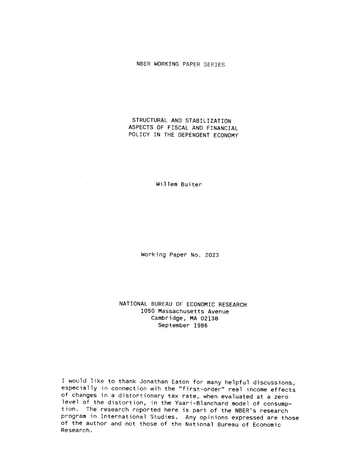### NBER WORKING PAPER SERIES

## STRUCTURAL AND STABILIZATION ASPECTS OF FISCAL AND FINANCIAL POLICY IN THE DEPENDENT ECONOMY

Willem Buiter

 $\sim 10^7$ 

 $\sim$   $\sim$ 

Working Paper No. 2023

NATIONAL BUREAU OF ECONOMIC RESEARCH 1050 Massachusetts Avenue Cambridge, MA 02138 September 1986

would like to thank Jonathan Eaton for many helpful discussions, especially in connection wih the "first-order" real income effects of changes in a distortionary tax rate, when evaluated at a zero level of the distortion, in the Yaari—Blanchard model of consumption. The research reported here is part of the NBER'S research program in International Studies. Any opinions expressed are those of the author and not those of the National Bureau of Economic Research.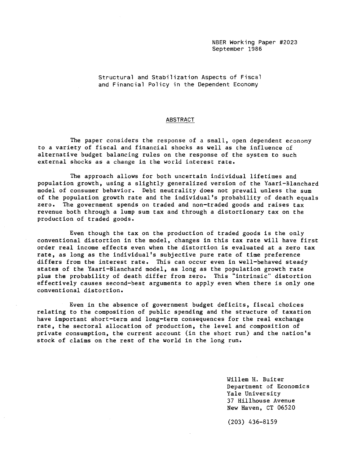Structural and Stabilization Aspects of Fiscal and Financial Policy in the Dependent Economy

### ABSTRACT

The paper considers the response of a small, open dependent economy to a variety of fiscal and financial shocks as well as che influence of alternative budget balancing rules on the response of the system to such external shocks as a change in the world interest rate.

The approach allows for both uncertain individual lifetimes and population growth, using a slightly generalized version of the Yaari—Blanchard model of consumer behavior. Debt neutrality does not prevail unless the sum of the population growth rate and the individual's probability of death equals zero. The government spends on traded and non—traded goods and raises tax revenue both through a lump sum tax and through a distortionary tax on the production of traded goods.

Even though the tax on the production of traded goods is the only conventional distortion in the model, changes in this tax rate will have first order real income effects even when the distortion is evaluated at a zero tax rate, as long as the individual's subjective pure rate of time preference differs from the interest rate. This can occur even in well—behaved steady states of the Yaari—Blanchard model, as long as the population growth rate plus the probability of death differ from zero. This "intrinsic" distortion effectively causes second—best arguments to apply even when there is only one conventional distortion.

Even in the absence of government budget deficits, fiscal choices relating to the composition of public spending and the structure of taxation have important short-term and long-term consequences for the real exchange rate, the sectoral allocation of production, the level and composition of private consumption, the current account (in the short run) and the nation's stock of claims on the rest of the world in the long run.

> Willem H. Buiter Department of Economics Yale University 37 Hillhouse Avenue New Haven, CT 06520

(203) 436—8159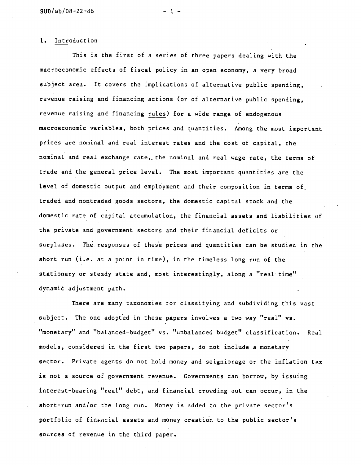### 1. Introduction

This is the first of a series of three papers dealing with the macroeconomic effects of fiscal policy in an open economy, a very broad subject area. It covers the implications of alternative public spending, revenue raising and financing actions (or of alternative public spending, revenue raising and financing rules) for a wide range of endogenous macroeconomic variables, both prices and quantities. Among the most important prices are nominal and real interest rates and the cost of capital, the nominal and real exchange rate, the nominal and real wage rate, the terms of trade and the general price level. The most important quantities are the level of domestic output and employment and their composition in terms of traded and nontraded goods sectors, the domestic capital stock and the domestic rate of capital accumulation, the financial assets and liabilities of the private and government sectors and their financial deficits or surpluses. The responses of these prices and quantities can be studied in the short run (i.e. at a point in time), in the timeless long run of the stationary or steady state and, most interestingly, along a "real-time" dynamic adjustment path.

There are many taxonomies for classifying and subdividing this vast subject. The one adopted in these papers involves a two way "real" vs. "monetary" and "balanced—budget" vs. "unbalanced budget" classification. Real models, considered in the first two papers, do not include a monetary sector. Private agents do not hold money and seigniorage or the inflation tax is not a source of government revenue. Governments can borrow, by issuing interest-bearing "real" debt, and financial crowding out can occur, in the short-run and/or the long run. Money is added to the private sector's portfolio of financial assets and money creation to the public sector's sources of revenue in the third paper.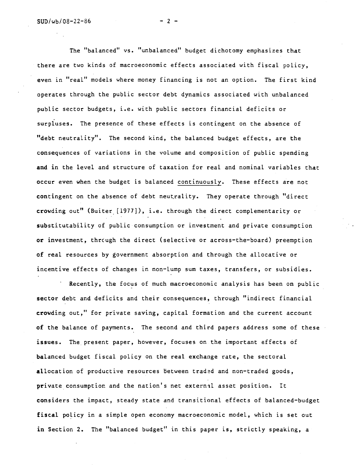The "balanced" vs. "unbalanced" budget dichotomy emphasizes that there are two kinds of macroeconomic effects associated with fiscal policy, even in "real" models where money financing is not an option. The first kind operates through the public sector debt dynamics associated with unbalanced public sector budgets, i.e. with public sectors financial deficits or surpluses. The presence of these effects is contingent on the absence of "debt neutrality". The second kind, the balanced budget effects, are the consequences of variations in the volume and composition of public spending and in the level and structure of taxation for real and nominal variables that occur even when the budget is balanced continuously. These effects are not contingent on the absence of debt neutrality. They operate through "direct crowding out" (Buiter [1977]), i.e. through the direct complementarity or substitutability of public consumption or investment and private consumption or investment, through the direct (selective or across-the-board) preemption of real resources by government absorption and through the allocative or incentive effects of changes in non—lump sum taxes, transfers, or subsidies.

Recently, the focus of much macroeconomic analysis has been on public sector debt and deficits and their consequences, through "indirect financial crowding Out," for private saving, capital formation and the current account of the balance of payments. The second and third papers address some of these issues. The present paper, however, focuses on the important effects of balanced budget fiscal policy on the real exchange rate, the sectoral allocation of productive resources between traded and non-traded goods, private consumption and the nation's net external asset position. It considers the impact, steady state and transitional effects of balanced—budget fiscal policy in a simple open economy macroeconomic model, which is set out in Section 2. The "balanced budget" in this paper is, strictly speaking, a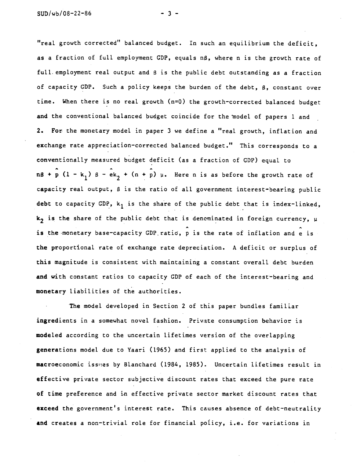"real growth corrected" balanced budget. In such an equilibrium the deficit, as a fraction of full employment GDP, equals nß, where n is the growth rate of full, employment real output and 8 is the public debt outstanding as a fraction of capacity CDP. Such a policy keeps the burden of the debt, 8, constant over time. When there is no real growth  $(n=0)$  the growth-corrected balanced budget and the conventional balanced budget coincide for the 'model of papers 1 and 2. For the monetary model in paper 3 we define a "real growth, inflation and exchange rate appreciation—corrected balanced budget." This corresponds to a conventionally measured budget deficit (as a fraction of CDP) equal to  $n\beta$  +  $\hat{p}$  (1 - k<sub>1</sub>)  $\beta$  -  $\hat{e}$ k<sub>2</sub> + (n +  $\hat{p}$ )  $\mu$ . Here n is as before the growth rate of capacity real output,  $\beta$  is the ratio of all government interest-bearing public debt to capacity GDP,  $k_1$  is the share of the public debt that is index-linked,  $k<sub>2</sub>$  is the share of the public debt that is denominated in foreign currency,  $\mu$ is the monetary base-capacity GDP ratio, p is the rate of inflation and e is the proportional rate of exchange rate depreciation. A deficit or surplus of this magnitude is consistent with maintaining a constant overall. debt burden and with constant ratios to capacity GDP of each of the interest-bearing and monetary liabilities of the authorities.

The model developed in Section 2 of this paper bundles familiar ingredients in a somewhat novel fashion. Private consumption behavior is modeled according to the uncertain lifetimes version of the overlapping generations model due to Yaari (1965) and first applied to the analysis of macroeconomic issues by Blanchard (1984, 1985). Uncertain lifetimes result in effective private sector subjective discount rates that exceed the pure rate of time preference and in effective private sector market discount rates that exceed the government's interest rate. This causes absence of debt—neutrality and creates a non—trivial role for financial policy, i.e. for variations in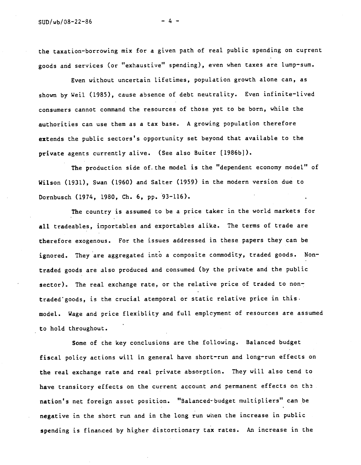the taxation—borrowing mix for a given path of real public spending on cuçrent goods and services (or "exhaustive" spending), even when taxes are lump—sum.

Even without uncertain Lifetimes, population growth alone can, as shown by Weil (1985), cause absence of debt neutrality. Even infinite-lived consumers cannot command the resources of those yet to be born, while the authorities can use them as a tax base. A growing population therefore extends the public sectors's opportunity set beyond that available to the private agents currently alive. (See also Buiter [1986b]).

The production side of. the model is the "dependent economy model" of Wilson (1931), Swan (1960) and Salter (1959) in the modern version due to Dornbusch (1974, 1980, Ch. 6, pp. 93—116).

The country is assumed to be a price taker in the world markets for all tradeables, importables and exportables alike. The terms of trade are therefore exogenous. For the issues addressed in these papers they can be ignored. They are aggregated into a composite commodity, traded goods. Nontraded goods are also produced and consumed (by the private and the public sector). The real exchange rate, or the relative price of traded to nontraded'goods, is the crucial atemporal or static relative price in this. model. Wage and price flexiblity and full empicyment of resources are assumed to hold throughout.

Some of the key conclusions are the following. Balanced budget fiscal policy actions will in general have short-run and long-run effects on the real exchange rate and real private absorption. They will also tend to have transitory effects on the current account and permanent effects on the nation's net foreign asset position. "Balanced-budget multipliers" can be negative in the short run and in the long run wnen the increase in public spending is financed by higher discortionary tax rates. An increase in the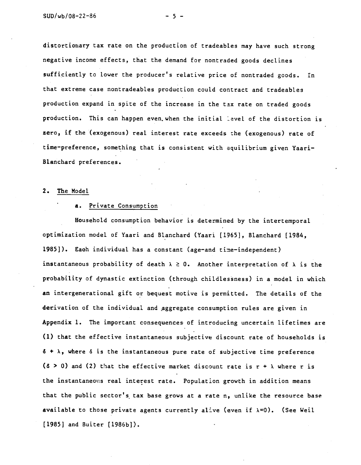distortiotiary tax rate on the production of tradeables may have such strong negative income effects, that the demand for nontraded goods declines sufficiently to lower the producer's relative price of nontraded goods. In that extreme case nontradeables production could contract and tradeables production expand in spite of the increase in the tax rate on traded goods production. This can happen even when the initial level of the distortion is zero, if the (exogenous) real interest rate exceeds the (exogenous) rate of time-preference, something that is consistent with equilibrium given Yaari-Bianchard preferences. 2000 Ford

#### 2. The Model

### a. Private Consumption

Household consumption behavior is determined by the intertemporal optimization model of Yaari and Blanchard (Yaari [1965], Blanchard [1984, 1985]). Each individual has a constant (age-and time-independent) instantaneous probability of death  $\lambda \geq 0$ . Another interpretation of  $\lambda$  is the probability of dynastic extinction (through childlessness) in a model in which an intergenerational gift or bequest motive is permitted. The details of the derivation of the individual and aggregate consumption rules are given in Appendix 1. The important consequences of introducing uncertain lifetimes are (1) that the effective instantaneous subjective discount rate of households is  $6 + \lambda$ , where  $\delta$  is the instantaneous pure rate of subjective time preference ( $\delta > 0$ ) and (2) that the effective market discount rate is  $r + \lambda$  where r is the instantaneous real interest rate. Population growth in addition means that the public sector's tax base grows at a rate n, unlike the resource base available to those private agents currently alive (even if  $\lambda=0$ ). (See Weil [1985] and Buiter [1986b]).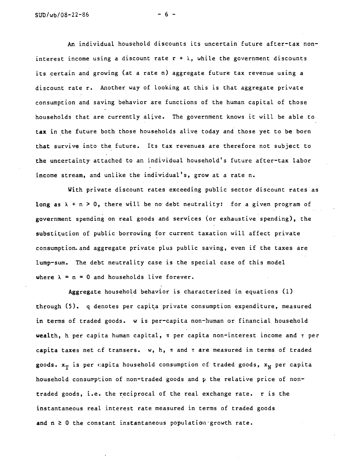An individual household discounts its uncertain future after-tax noninterest income using a discount rate  $r + \lambda$ , while the government discounts its certain and growing (at a rate n) aggregate future tax revenue using a discount rate r. Another way of looking at this is that aggregate private consumption and saving behavior are functions of the human capital of those households that are currently alive. The government knows it will be able to tax in the future both those households alive today and those yet to be born that survive into the future. Its tax revenues are therefore not subject to the uncertainty attached to an individual household's future after-tax labor income stream, and unlike the individual's, grow at a rate n.

With private discount rates exceeding public sector discount rates as long as  $\lambda + n > 0$ , there will be no debt neutrality: for a given program of government spending on real goods and services (or exhaustive spending), the substitution of public borrowing for current taxation will affect private consumption. and aggregate private plus public saving, even if the taxes are lump-sum. The debt neutrality case is the special case of this model where  $\lambda = n = 0$  and households live forever.

Aggregate household behavior is characterized in equations (1) through (5). q denotes per capita private consumption expenditure, measured in terms of traded goods. w is per-capita non-human or financial household wealth, h per capita human capital,  $\pi$  per capita non-interest income and  $\tau$  per capita taxes net of transers.  $w$ , h,  $\pi$  and  $\tau$  are measured in terms of traded goods.  $x_T$  is per capita household consumption of traded goods,  $x_N$  per capita household consumption of non-traded goods and p the relative price of nontraded goods, i.e. the reciprocal of the real exchange rate. r is the instantaneous real interest rate measured in terms of traded goods and  $n \geq 0$  the constant instantaneous population growth rate.

- 6 -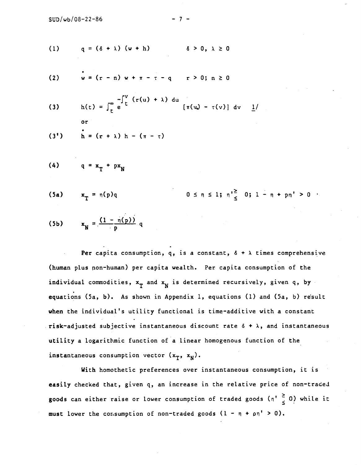(1) 
$$
q = (\delta + \lambda) (w + h)
$$
  $\delta > 0, \lambda \ge 0$ 

(2) 
$$
w = (r - n) w + \pi - \tau - q
$$
  $r > 0; n \ge 0$ 

(3) 
$$
h(t) = \int_{t}^{\infty} e^{-\int_{t}^{V} (r(u) + \lambda) du} [\pi(v) - \tau(v)] dv \frac{1}{}
$$

$$
(3') \qquad \mathbf{h} = (r + \lambda) \mathbf{h} - (\pi - \tau)
$$

$$
(4) \qquad q = x_T + px_N
$$

or

(5a) 
$$
x_{T} = n(p)q
$$
 0  $\leq n \leq 1; n \leq 0; 1 - n + pn' > 0$ 

(5b) 
$$
x_N = \frac{(1 - \eta(p))}{p}
$$
 q

Per capita consumption, q, is a constant,  $\delta + \lambda$  times comprehensive (human plus non—human) per capita wealth. Per capita consumption of the individual commodities,  $x_T^{\text{}}$  and  $x_N^{\text{}}$  is determined recursively, given q, by equations (5a, b). As shown in Appendix 1, equations (1) and (5a, b) result when the individual's utility functional is time-additive with a constant risk-adjusted subjective instantaneous discount rate  $\delta + \lambda$ , and instantaneous utility a logarithmic function of a linear homogenous function of the instantaneous consumption vector  $(x_T, x_N)$ .

With homothetic preferences over instantaneous consumption, it is easily checked that, given q, an increase in the relative price of non-traded goods can either raise or lower consumption of traded goods  $(n^2 \frac{1}{6} 0)$  while it must lower the consumption of non-traded goods  $(1 - \eta + \rho \eta' > 0)$ .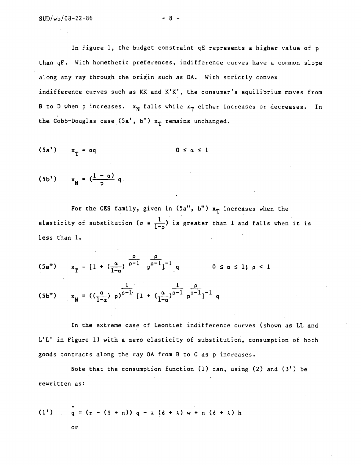In Figure 1, the budget constraint qE represents a higher value of p than qF. With homethetic preferences, indifference curves have a common slope along any ray through the origin such as OA. With strictly convex indifference curves such as KK and K'K', the consumer's equilibrium moves from B to D when p increases.  $x_N$  falls while  $x_T$  either increases or decreases. In the Cobb-Douglas case  $(5a', b')$  x<sub>T</sub> remains unchanged.

$$
(5a') \qquad x_T = \alpha q \qquad \qquad 0 \le \alpha \le 1
$$

$$
(5b') \qquad x_N = \left(\frac{1-\alpha}{p}\right) q
$$

For the CES family, given in  $(5a'', b'')$   $x_T$  increases when the elasticity of substitution ( $\sigma = \frac{1}{1-\rho}$ ) is greater than 1 and falls when it is less than 1.

$$
(5a'') \qquad x_T = [1 + (\frac{\alpha}{1-\alpha}) \frac{\rho}{\rho-1} \frac{\rho}{\rho^{-1}}]^{-1} q \qquad \qquad 0 \le \alpha \le 1; \ \rho < 1
$$

(5b") 
$$
x_N = ((\frac{\alpha}{1-\alpha}) p)^{\frac{1}{\rho-1}} [1 + (\frac{\alpha}{1-\alpha})^{\frac{1}{\rho-1}} p^{\frac{\rho}{\rho-1}}]^{-1} q
$$

In the extreme case of Leontief indifference curves (shown as LL and L'L' in Figure 1) with a zero elasticity of substitution, consumption of both goods contracts along the ray OA from B to C as p increases.

Note that the consumption function (1) can, using (2) and (3') be rewritten as:

(1') 
$$
q = (r - (\delta + n)) q - \lambda (\delta + \lambda) w + n (\delta + \lambda) h
$$

or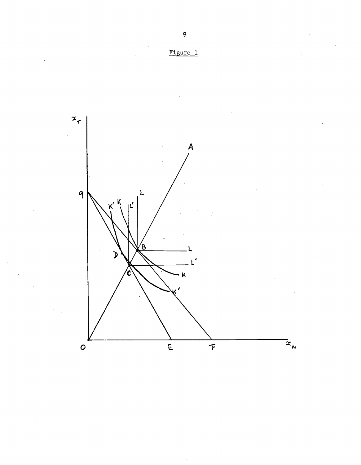

 $\mathbf{9}$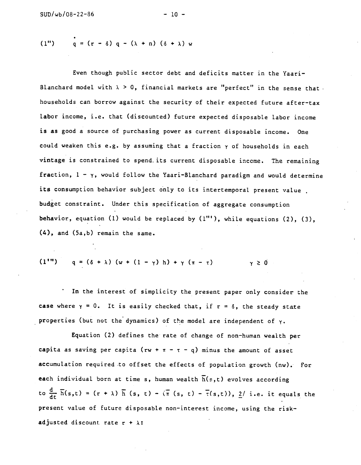(1") 
$$
q = (r - \delta) q - (\lambda + n) (\delta + \lambda) w
$$

Even though public sector debt and deficits matter in the Yaari— Blanchard model with  $\lambda > 0$ , financial markets are "perfect" in the sense that. households can borrow against the security of their expected future after—tax labor income, i.e. that (discounted) future expected disposable labor income is as good a source of purchasing power as current disposable income. One could weaken this e.g. by assuming that a fraction y of households in each vintage is constrained to spend. its current disposable income. The remaining fraction,  $1 - \gamma$ , would follow the Yaari-Blanchard paradigm and would determine its consumption behavior subject only to its intertemporal present value. budget constraint. Under this specification of aggregate consumption behavior, equation (1) would be replaced by  $(1"')$ , while equations  $(2)$ ,  $(3)$ , (4), and (5a,b) remain the same.

(1<sup>1</sup>") 
$$
q = (\delta + \lambda) (w + (1 - \gamma) h) + \gamma (\pi - \tau)
$$
  $\gamma \ge 0$ 

In the interest of simplicity the present paper only consider the case where  $y = 0$ . It is easily checked that, if  $r = \delta$ , the steady state properties (but not the dynamics) of the model are independent of  $\gamma$ .

Equation (2) defines the rate of change of non—human wealth per capita as saving per capita (rw +  $\pi$  -  $\tau$  - q) minus the amount of asset accumulation required to offset the effects of population growth (nw). For each individual born at time s, human wealth  $\overline{h}(s,t)$  evolves according to  $\frac{d}{dt} \overline{h}(s,t) = (r + \lambda) \overline{h}(s, t) - (\overline{h}(s, t) - \overline{t}(s,t)), 2/$  i.e. it equals the present value of future disposable non-interest income, using the riskadjusted discount rate  $r + \lambda$ :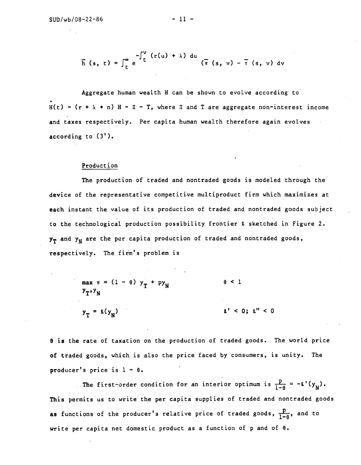$$
\overline{h}(s, t) = \int_{t}^{\infty} e^{-\int_{t}^{V} (r(u) + \lambda) du} (\overline{\pi}(s, v) - \overline{\tau}(s, v) dv)
$$

Aggregate human wealth H can be shown to evolve according to  $H(t) = (r + \lambda + n) H - I - T$ , where II and T are aggregate non-interest income and taxes respectively. Per capita human wealth therefore again evolves according to (3')

### Production

The production, of traded and nontraded goods is modeled through the device of the representative competitive multiproduct firm which maximizes at each instant the value of its production of traded and nontraded goods subject to the technological production possibility frontier 2. sketched in Figure 2.  $y_T$  and  $y_N$  are the per capita production of traded and nontraded goods, respectively. The firm's problem is

$$
\max_{y_T, y_N} \pi = (1 - \theta) y_T + py_N \qquad \theta < 1
$$
  

$$
y_T = \ell(y_N) \qquad \qquad \ell' < 0; \ell'' < 0
$$

 $\theta$  is the rate of taxation on the production of traded goods. The world price of traded goods, which is also the price faced by consumers, is unity. The producer's price is  $1 - \theta$ .

The first-order condition for an interior optimum is  $\frac{p}{1-\theta} = -\ell'(y_N)$ . This permits us to write the per capita supplies of traded and nontraded goods as functions of the producer's relative price of traded goods,  $\frac{p}{1-q}$ , and to write per capita net domestic product as a function of p and of 8.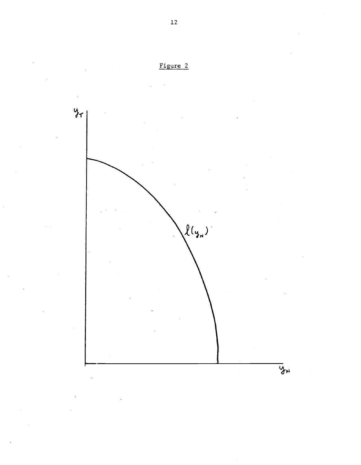

 $\frac{12}{2}$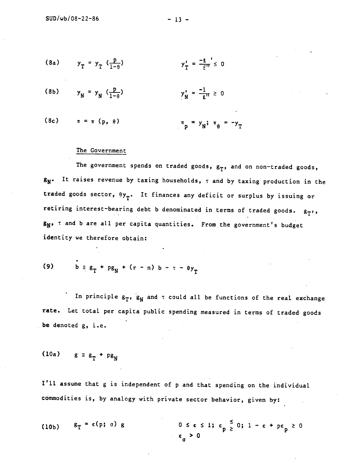(8a) 
$$
y_T = y_T \left( \frac{p}{1-\theta} \right)
$$
  $y_T' = \frac{-q}{f^T} \leq 0$ 

(8b) 
$$
y_N = y_N \left( \frac{p}{1-\theta} \right)
$$
  $y_N' = \frac{-1}{2^n} \ge 0$ 

(8c) 
$$
\pi = \pi (p, \theta)
$$
  $\pi = y_N; \pi_{\theta} = -y_T$ 

## The Government

The government spends on traded goods,  $g_T$ , and on non-traded goods,  $g_N$ . It raises revenue by taxing households,  $\tau$  and by taxing production in the traded goods sector,  $\theta y_{T}$ . It finances any deficit or surplus by issuing or retiring interest-bearing debt b denominated in terms of traded goods.  $g_T$ ,  $s_N$ ,  $\tau$  and b are all per capita quantities. From the government's budget identity we therefore obtain:

(9) 
$$
b = g_T + pg_N + (r - n) b - \tau - \theta y_T
$$

In principle  $g_T$ ,  $g_N$  and  $\tau$  could all be functions of the real exchange rate. Let total per capita public spending measured in terms of traded goods be denoted g, i.e.

$$
(10a) \qquad g \equiv g_{\rm T} + pg_{\rm N}
$$

I'll assume that g is independent of p and that spending on the individual commodities is, by analogy with private sector behavior, given by:

(10b) 
$$
g_T = \epsilon(p; \sigma) g
$$
  $0 \le \epsilon \le 1; \epsilon_p \le 0; 1 - \epsilon + p\epsilon_p \ge 0$   
 $\epsilon_{\sigma} > 0$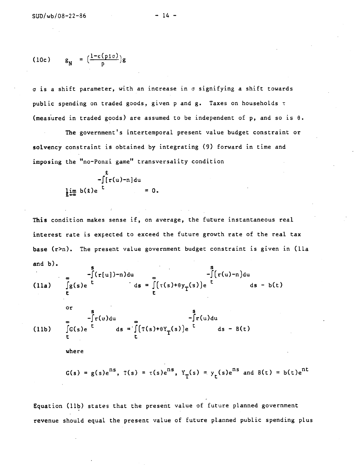$$
(10c) \qquad g_N = \left(\frac{1-\epsilon(p;\sigma)}{p}\right)g
$$

a is a shift parameter, with an increase in a signifying a shift towards public spending on traded goods, given p and  $g$ . Taxes on households  $\tau$ (measured in traded goods) are assumed to be independent of p, and so is 0.

The government's intertemporal present value budget constraint or solvency constraint is obtained by integrating (9) forward in time and imposing the "no—Ponzi game" transversaiity condition

> —f[r(u)—n]du  $\lim_{k \to \infty} b(k)e^{-t} = 0.$

This condition makes sense if, on average, the future instantaneous real interest rate is expected to exceed the future growth rate of the real tax base  $(r>n)$ . The present value government budget constraint is given in (lla and b).

(11a) 
$$
\int_{E}^{B} (r(u)) - n du
$$
  
\n
$$
ds = \int_{E}^{B} (\tau(s) + \theta y_{T}(s)) e^{-\int_{0}^{t} [r(u) - n] du}
$$
  
\n
$$
ds - b(t)
$$

(11b) 
$$
\int_{0}^{3} f(u) du
$$

$$
\int_{0}^{3} G(s) e^{-\int_{0}^{t} ds} = \int_{0}^{3} (T(s) + \theta Y_{T}(s)) e^{-\int_{0}^{t} ds - B(t)}
$$

where

or

$$
G(s) = g(s)e^{ns}
$$
,  $T(s) = \tau(s)e^{ns}$ ,  $Y_T(s) = y_t(s)e^{ns}$  and  $B(t) = b(t)e^{nt}$ 

Equation (lib) states that the present value of future planned government revenue should equal the present value of future planned public spending plus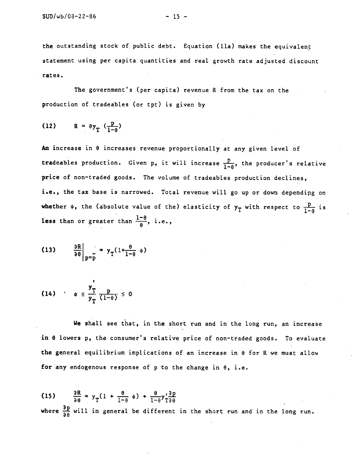the outstanding stock of public debt. Equation (lla) makes the equivalent statement using per capita quantities and real growth rate adjusted discount rates.

The government's (per capita) revenue R from the tax on the production of tradeables (or tpt) is given by

$$
(12) \qquad R = \theta y_T \left( \frac{p}{1-\theta} \right)
$$

An increase in 8 increases revenue proportionally at any given level of tradeables production. Given p, it will increase  $\frac{p}{1-\theta}$ , the producer's relative price of non-traded goods. The volume of tradeables production declines, i.e., the tax base is narrowed. Total revenue will go up or down dependipg on whether  $\phi$ , the (absolute value of the) elasticity of  $y_T$  with respect to  $\frac{p}{1-\theta}$  is less than or greater than  $\frac{1-\theta}{\theta}$ , i.e.,

(13) 
$$
\frac{\partial R}{\partial \theta}\Big|_{p=\overline{p}} = y_{T} \left(1 + \frac{\theta}{1-\theta} \phi\right)
$$

(14) 
$$
\qquad \phi \equiv \frac{y_T}{y_T} \frac{p}{(1-\theta)} \leq 0
$$

We shall see that, in the short run and in the long run, an increase in 0 lowers p, the consumer's relative price of non—traded goods. To evaluate the general equilibrium implications of an increase in  $\theta$  for R we must allow for any endogenous response of  $p$  to the change in  $\theta$ , i.e.

(15)  $\frac{\partial R}{\partial \theta} = y_T (1 + \frac{\theta}{1-\theta} \phi) + \frac{\theta}{1-\theta} y_{T\theta}^{\prime \frac{\partial P}{\partial \theta}}$ where  $\frac{\partial p}{\partial \theta}$  will in general be different in the short run and in the long run.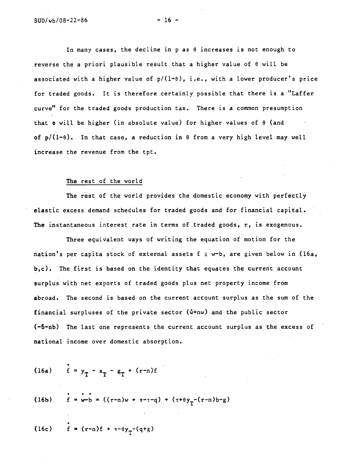In many cases, the decline in p as  $\theta$  increases is not enough to reverse the a priori plausible result that a higher value of 8 will be associated with a higher value of  $p/(1-\theta)$ , i.e., with a lower producer's price for traded goods. It is therefore certainly possible that there is a "Laffer curve" for the traded goods production tax. There is a common presumption that  $\phi$  will be higher (in absolute value) for higher values of  $\theta$  (and of  $p/(1-\theta)$ . In that case, a reduction in  $\theta$  from a very high level may well increase the revenue from the tpt.

#### The rest of the world

The rest of the world provides the domestic economy with perfectly elastic excess demand schedules for traded goods and for financial capital. The instantaneous interest rate in terms of traded goods, r, is exogenous.

Three equivalent ways of writing the equation of motion for the nation's per capita stock of external assets  $f \equiv w-b$ , are given below in (16a, b,c). The first is based on the identity that equates the current account surplus with net exports of traded goods plus net property income from abroad. The second is based on the current account surplus as the sum of the financial surpluses of the private sector  $(\hat{w}+nw)$  and the public sector (—6—nb) The last one represents the current account surplus as the excess of national income over domestic absorption.

(16a) 
$$
\dot{f} = y_T - x_T - g_T + (r-n)f
$$

(16b) 
$$
\mathbf{f} = \mathbf{w} - \mathbf{b} = ((r-n)\mathbf{w} + \pi - \tau - q) + (\tau + \theta y_T - (r-n)\mathbf{b} - g)
$$

(16c)  $f = (r-n)f + \pi-\theta y_{r}-(q+g)$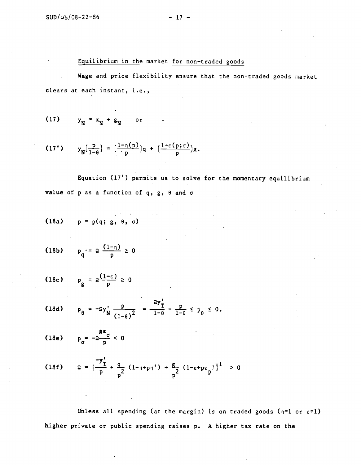## Equilibrium in the market for non—traded goods

Wage and price flexibility ensure that the non-traded goods market cLears at each instant, i.e.,

(17)  $y_N = x_N + g_N$  or

(17') 
$$
y_N(\frac{p}{1-\theta}) = (\frac{1-n(p)}{p})q + (\frac{1-\epsilon(p;\sigma)}{p})g.
$$

Equation (17') permits us to solve for the momentary equilibrium value of p as a function of q,  $g$ ,  $\theta$  and  $\sigma$ 

$$
(18a) \qquad p = p(q; g, \theta, \sigma)
$$

(18b) 
$$
p_q' = \Omega \frac{(1-\eta)}{p} \ge 0
$$

(18c)  $p_g = \frac{\Omega(1-\epsilon)}{p} \ge 0$ 

(18d) 
$$
p_{\theta} = -\Omega y_{N}^{\dagger} \frac{p}{(1-\theta)^{2}} = \frac{\Omega y_{T}^{\dagger}}{1-\theta} - \frac{p}{1-\theta} \le p_{\theta} \le 0.
$$

(18e) 
$$
p_{\sigma} = -\frac{g \epsilon_{\sigma}}{p} < 0
$$

(18f) 
$$
\Omega = \left[\frac{-y_1^*}{p} + \frac{q}{p^2} (1 - \eta + p\eta^*) + \frac{g}{p^2} (1 - \epsilon + p\epsilon_p)^{\frac{1}{2}}\right] > 0
$$

Unless all spending (at the margin) is on traded goods ( $n=1$  or  $\varepsilon=1$ ) higher private or public spending raises p. A higher tax rate on the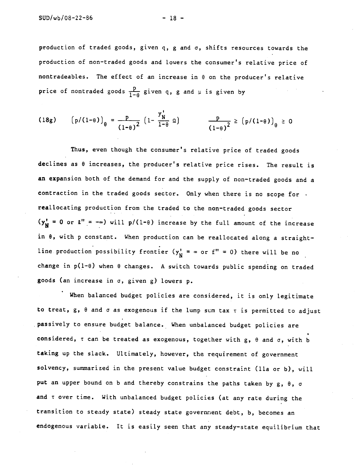production of traded goods, given q, g and  $\sigma$ , shifts resources towards the production of non—traded goods and lowers the consumer's relative price of nontradeables. The effect of an increase in  $\theta$  on the producer's relative price of nontraded goods  $\frac{p}{1-\theta}$  given q, g and  $\mu$  is given by

(18g) 
$$
(p/(1-\theta))_{\theta} = \frac{p}{(1-\theta)^2} (1-\frac{y'_N}{1-\theta} \Omega) \qquad \frac{p}{(1-\theta)^2} \ge (p/(1-\theta))_{\theta} \ge 0
$$

Thus, even though the consumer's relative price of traded goods declines as B increases, the producer's relative price rises. The result is an expansion both of the demand for and the supply of non—traded goods and a contraction in the traded goods sector. Only when there is no scope for. reallocating production from the traded to the non—traded goods sector  $(y_N^* = 0 \text{ or } \ell' = -\infty)$  will  $p/(1-\theta)$  increase by the full amount of the increase in  $\theta$ , with p constant. When production can be reallocated along a straightline production possibility frontier  $(y_N^1 = \infty \text{ or } f'' = 0)$  there will be no change in  $p(1-\theta)$  when  $\theta$  changes. A switch towards public spending on traded goods (an increase in a, given g) lowers p.

When balanced budget policies are considered, it is only legitimate to treat, g, 8 and a as exogenous if the lump sum tax r is permitted to adjust passively to ensure budget balance. When unbalanced budget policies are considered,  $\tau$  can be treated as exogenous, together with g,  $\theta$  and  $\sigma$ , with b taking up the slack. Ultimately, however, the requirement of government solvency, summarized in the present value budget constraint (lla or b), will put an upper bound on b and thereby constrains the paths taken by  $g, \theta, \sigma$ and r over time. With unbalanced budget policies (at any rate during the transition to steady state) steady state government debt, b, becomes an endogenous variable. It is easily seen that any steady—state equilibrium that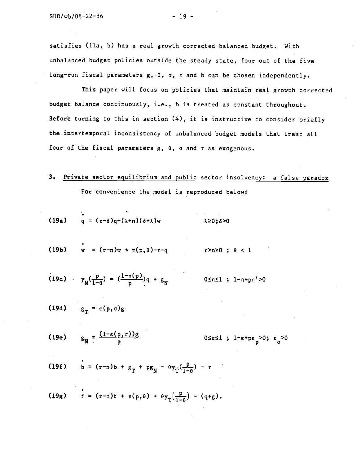satisfies (lla, b) has a real growth corrected balanced budget. With unbalanced budget policies outside the steady state, four out of the five long-run fiscal parameters  $g, \theta, \sigma, \tau$  and b can be chosen independently.

This paper will focus on policies that maintain real growth corrected budget balance continuously, i.e., b is treated as constant throughout. Before turning to this in section (4), it is instructive to consider briefly the intertemporal inconsistency of unbalanced budget models that treat all four of the fiscal parameters  $g, \theta, \sigma$  and  $\tau$  as exogenous.

- 3. Private sector equilibrium and public sector insolvency: a false paradox For convenience the model is reproduced below:
- (19a)  $q = (r-\delta)q-(\lambda+n)(\delta+\lambda)w$   $\lambda \ge 0; \delta > 0$
- (19b)  $w = (r-n)w + \pi(p, \theta) \tau q$   $r > n \ge 0$ ;  $\theta < 1$
- (19c)  $y_N(\frac{p}{1-\theta}) = (\frac{1-\eta(p)}{p})q + g_N$   $0 \leq \eta \leq 1$ ;  $1-\eta + p\eta' > 0$
- (19d)  $g_{\text{p}} = \varepsilon(p, \sigma)g$
- (19e)  $g_N = \frac{(1-\epsilon(p,\sigma))g}{p}$  0Ses1; 1-e+pe<sub>p</sub>>0; e<sub> $\sigma$ </sub>>0
- (19f)  $b = (r-n)b + g_T + pg_N \theta y_T(\frac{p}{1-\theta}) r$

(19g)  $\dot{f} = (r-n)f + \pi(p,\theta) + \theta y_T(\frac{p}{1-\theta}) - (q+g).$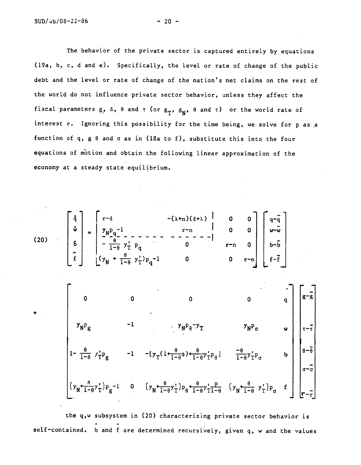The behavior of the private sector is captured entirely by equations (19a, b, c, d and e). SpecificaLly, the level or rate of change of the public debt and the level or rate of change of the nation's net claims on the rest of the world do not influence private sector behavior, unless they affect the fiscal parameters  $g$ ,  $\delta$ ,  $\theta$  and  $\tau$  (or  $g_T$ ,  $g_N$ ,  $\theta$  and  $\tau$ ) or the world rate of interest r. Ignoring this possibility for the time being, we solve for p as a function of q, g  $\theta$  and  $\sigma$  as in (18a to f), substitute this into the four equations of motion and obtain the following linear approximation of the economy at a steady state equilibrium.

 $\mathbf{w} = \begin{bmatrix} y_{\mathbf{N}} \mathbf{p}_{\alpha}^{-1} & \mathbf{r} \end{bmatrix}$  r—n  $\mathbf{0} = \begin{bmatrix} 0 & 0 \end{bmatrix} \begin{bmatrix} w-\mathbf{w} \end{bmatrix}$ (20)  $\begin{vmatrix} 6 \\ 1 \end{vmatrix} - \frac{\theta}{1-\theta} y_T^{\dagger} p_q$  0 r-n 0 b-b +  $\frac{6}{1-\theta}$  y'<sub>1</sub>) p<sub>q</sub>-1 0 0 r-n f-f 0  $0$  0  $0$   $q \mid 8^{-3}$  $Y_N P_{\theta} Y_T$   $Y_N P_{\sigma}$   $W = \begin{pmatrix} 1 & 0 & 0 \\ 0 & 0 & 0 \\ 0 & 0 & 0 \end{pmatrix}$  $\frac{1}{1-\theta}$   $\mathcal{F}_{T}^{P}P_{g}$   $-1$   $-\left\{y_{T}(\frac{1+\theta}{1-\theta}+\frac{1-\theta}{1-\theta})^{T}P_{\theta}\right\}$   $\frac{1-\theta}{1-\theta}y_{T}^{T}P_{\sigma}$   $b$  $-\overline{\theta}$  |  $\qquad \qquad$ a—a  $(y_N^+i_{\overline{-\theta}}y_T^+j_{\overline{p}_g}^{-1}$  0  $(y_N^+i_{\overline{-\theta}}y_T^+)p_{\theta}^+i_{\overline{-\theta}}y_T^+i_{\overline{-\theta}}^{*}$   $(y_N^+i_{\overline{-\theta}}y_T^+)p_{\theta}^+i_{\overline{-\theta}}^{*}$ 

 $\int r^{-\delta}$   $-(\lambda+n)(\delta+\lambda)$  0 0  $\int q^{-\delta}$ 

the q,w subsystem in (20) characterizing private sector behavior is self-contained. b and f are determined recursively, given q, w and the values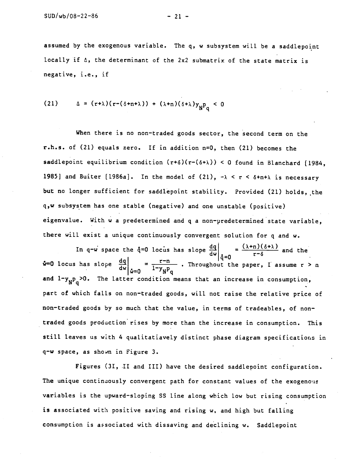assumed by the exogenous variable. The q, w subsystem will be a saddlepoint locally if  $\Delta$ , the determinant of the 2x2 submatrix of the state matrix is negative, i.e., if

(21) 
$$
\Delta = (r+\lambda)(r-(\delta+n+\lambda)) + (\lambda+n)(\delta+\lambda)y_{N}P_{q} < 0
$$

When there is no non-traded goods sector, the second term on the  $r.h.s.$  of (21) equals zero. If in addition  $n=0$ , then (21) becomes the saddlepoint equilibrium condition  $(r+ \delta)(r-(\delta+\lambda)) < 0$  found in Blanchard [1984, 1985] and Buiter [1986a]. In the model of (21),  $-\lambda < r < \delta + n + \lambda$  is necessary but no longer sufficient for saddlepoint stability. Provided (21) holds, the q,w subsystem has one stable (negative) and one unstable (positive) eigenvalue. With w a predetermined and q a non—predetermined state variable, there will exist a unique continuously convergent solution for q and w.

In q-w space the q=0 locus has slope  $\frac{dq}{dw}\Big|_{\dot{q}=0} = \frac{c(\lambda+n)(\delta+\lambda)}{r-\delta}$  and the  $\frac{dQ}{dw}\Big|_{\dot{\alpha}=0} = \frac{r-n}{1-y_p p_q}$ . Throughout the paper, I assume  $r > n$ and  $1-y_{\text{NP}_p}>0$ . The latter condition means that an increase in consumption, part of which falls on non-traded goods, will not raise the relative price of non—traded goods by so much that the value, in terms of tradeables, of non traded goods production rises by more than the increase in consumption. This still leaves us with 4 qualitatiavely distinct phase diagram specifications in q—w space, as shon in Figure 3.

Figures (31, II and III) have the desired saddlepoint configuration. The unique continuously convergent path for constant values of the exogenous variables is the upward-sloping SS line along which low but rising consumption is associated with positive saving and rising w, and high but falling consumption is associated with dissaving and declining w. Saddlepoint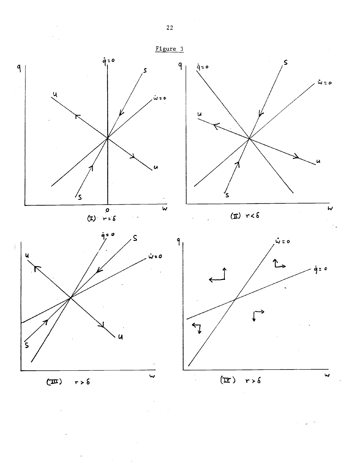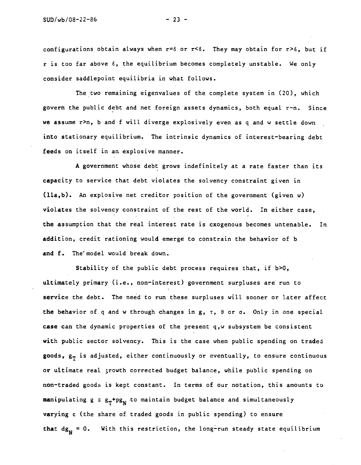configurations obtain always when  $r=6$  or  $r<sub>6</sub>$ . They may obtain for  $r>6$ , but if  $\dot{r}$  is too far above  $\delta$ , the equilibrium becomes completely unstable. We only consider saddlepoint equilibria in what follows.

The two remaining eigenvalues of the complete system in (20), which govern the public debt and net foreign assets dynamics, both equal r—n. Since we assume r>n, b and f will diverge explosively even as q and w settle down into stationary equilibrium. The intrinsic dynamics of interest-bearing debt feeds on itself in an explosive manner.

A government whose debt grows indefinitely at a rate faster than its capacity to service that debt violates the solvency constraint given in  $(lla, b)$ . An explosive net creditor position of the government (given w) violates the solvency constraint of the rest of the world. In either case, the assumption that the real interest rate is exogenous becomes untenable. In addition, credit rationing would emerge to constrain the behavior of b and f. The model would break down.

Stability of the public debt process requires that, if b>0, ultimately primary (i.e., non—interest) government surpluses are run to service the debt. The need to run these surpluses will sooner or later affect the behavior of q and w through changes in  $g, \tau, \theta$  or  $\sigma$ . Only in one special case can the dynamic properties of the present q,w subsystem be consistent with public sector solvency. This is the case when public spending on traded goods,  $g_T$  is adjusted, either continuously or eventually, to ensure continuous or ultimate real ;rowth corrected budget balance, while public spending on non-traded goods is kept constant. In terms of our notation, this amounts to manipulating  $g \equiv g_{T} + pg_{N}$  to maintain budget balance and simultaneously varying  $\epsilon$  (the share of traded goods in public spending) to ensure that  $dg_N = 0$ . With this restriction, the long-run steady state equilibrium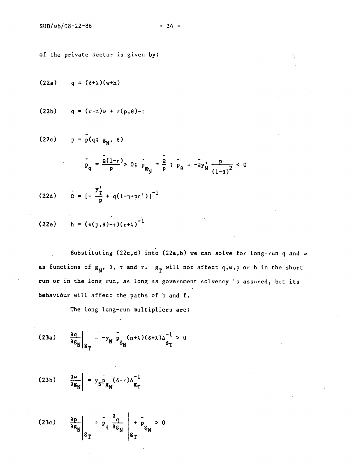of the private sector is given by:

$$
(22a) \qquad q = (\delta + \lambda)(w+h)
$$

$$
(22b) \qquad q = (r-n)w + \pi(p,\theta)-\tau
$$

$$
(22c) \t p = p(q; g_N, \theta)
$$

$$
P_{q} = \frac{\tilde{a}(1-\eta)}{p} > 0; \ \tilde{P}_{g} = \frac{\tilde{a}}{p} ; \ \tilde{P}_{\theta} = -\tilde{a}y_{N}^{*} \frac{p}{(1-\theta)^{2}} < 0
$$

(22d) 
$$
\tilde{\Omega} = \left[ -\frac{y_T^{\dagger}}{p} + q(1 - \eta + p \eta^{\dagger}) \right]^{-1}
$$

(22e) 
$$
h = (\pi(p, \theta) - \tau)(r + \lambda)^{-1}
$$

Substituting (22c,d) into (22a,b) we can solve for long-run q and w as functions of  $g_N$ ,  $\theta$ ,  $\tau$  and  $r$ .  $g_T$  will not affect q,w,p or h in the short run or in the long run, as long as government solvency is assured, but its behaviour will affect the paths of b and f.

The long long—run multipliers are:

$$
(23a) \qquad \frac{\partial q}{\partial g_N}\bigg|_{g_T} = -y_N \left[\tilde{p}_{g_N}(n+\lambda)(\delta+\lambda)\Delta\frac{1}{g_T} > 0\right]
$$

$$
(23b) \qquad \frac{\partial w}{\partial g_N} = y_N \bar{P}_{g_N} (\delta - r) \Delta_{g_T}^{-1}
$$

$$
(23c) \qquad \frac{\partial p}{\partial g_N}\Bigg|_{g_T} = \frac{1}{p_q} \frac{\partial q}{\partial g_N}\Bigg|_{g_T} + \frac{1}{p_g} \geq 0
$$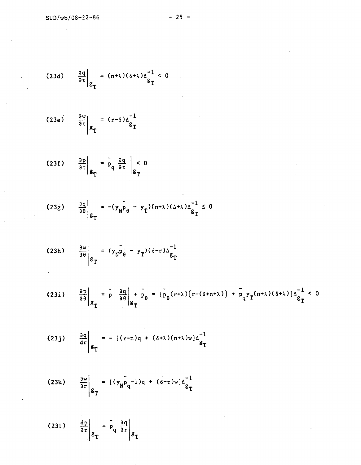$\frac{1}{2}$  .

$$
(23d) \qquad \frac{\partial q}{\partial \tau}\Big|_{g_T} = (n+\lambda)(\delta+\lambda)\Delta \frac{1}{g_T} < 0
$$

$$
(23e) \qquad \frac{\partial w}{\partial \tau}\Big|_{g_T} = (r-\delta)\Delta \frac{1}{g_T}
$$

$$
(23f) \qquad \frac{3p}{a\tau}\bigg|_{g_T} = \frac{1}{p} q \frac{3q}{a\tau} \bigg|_{g_T} < 0
$$

$$
(23g) \qquad \frac{3q}{3\theta} \Bigg|_{g_T} = -(y_N \bar{p}_{\theta} - y_T)(n+\lambda)(\Delta + \lambda)\Delta_{g_T}^{-1} \leq 0
$$

$$
(23h) \qquad \frac{\partial w}{\partial \theta}\Big|_{g_T} = (y_N \tilde{p}_{\theta} - y_T)(\delta - r) \Delta_{g_T}^{-1}
$$

 $\ddot{\phantom{a}}$ 

$$
(23i) \qquad \frac{\partial p}{\partial \theta}\Big|_{g_T} = \left[\frac{a}{p} \left(\frac{\partial q}{\partial \theta}\right) + \left[\frac{b}{p} \theta\right] = \left[\frac{b}{p} (r+\lambda) (r - (\delta + n + \lambda)) + \left[\frac{b}{p} q \right] r (n+\lambda) (\delta + \lambda) \right] \Delta_{g_T}^{-1} < 0
$$

$$
(23j) \quad \frac{\partial q}{\partial r}\Big|_{g_T} = -[(r-n)q + (\delta + \lambda)(n+\lambda)w]\Delta_{g_T}^{-1}
$$

$$
(23k) \qquad \frac{\partial w}{\partial r}\Big|_{g_T} = [(y_N \tilde{p}_q^{-1})q + (\delta - r)w] \Delta \frac{1}{g_T}
$$

$$
(231) \qquad \frac{\text{dp}}{\text{ar}}\bigg|_{\mathcal{S}_{\text{T}}} = \bar{p}_{q} \left. \frac{\text{aq}}{\text{ar}} \right|_{\mathcal{S}_{\text{T}}}
$$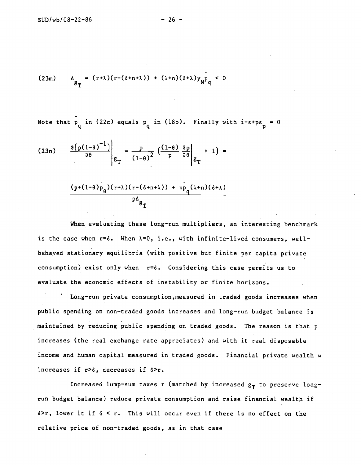$$
(23m) \qquad \Delta_{g_{\mathbf{T}}} = (r+\lambda)(r-(\delta+n+\lambda)) + (\lambda+n)(\delta+\lambda)y_{\mathbf{N}}\mathbf{P}_{\mathbf{q}} < 0
$$

Note that p\_ in (2  $\mathbf{q}$ in (22c) equals  $p_q$  in (18b). Finally with i- $\varepsilon$ + $p\varepsilon_p^{}$  = 0

$$
(23n) \qquad \frac{\partial (p(1-\theta)^{-1})}{\partial \theta} \Big|_{g_{\mathbf{T}}} = \frac{p}{(1-\theta)^2} \left( \frac{(1-\theta)}{p} \frac{\partial p}{\partial \theta} \Big|_{g_{\mathbf{T}}} + 1 \right) =
$$

$$
(p + (1-\theta) p_{\mathbf{p}}) (\tau + \lambda) (r - (\delta + n + \lambda)) + \bar{p} (\lambda + n) (\delta + \lambda)
$$

$$
\frac{(p+(1-\theta)p_{\theta})(r+\lambda)(r-(\delta+n+\lambda))+\pi p_{q}(\lambda+n)(\delta+\lambda)}{p\Delta_{g}}}{\sum_{i=1}^{p}(\lambda+\lambda)^{2}}
$$

When evaluating these long-run multipliers, an interesting benchmark is the case when  $r=6$ . When  $\lambda=0$ , i.e., with infinite-lived consumers, wellbehaved stationary equilibria (with positive but finite per capita private consumption) exist only when  $r = \delta$ . Considering this case permits us to evaluate the economic effects of instability or finite horizons.

Long-run private consumption, measured in traded goods increases when public spending on non—traded goods increases and long—run budget balance is maintained by reducing public spending on traded goods. The reason is that p increases (the real exchange rate appreciates) and with it real disposable income and human capital measured in traded goods. Financial private wealth w increases if  $r > \delta$ , decreases if  $\delta > r$ .

Increased lump-sum taxes  $\tau$  (matched by increased  $g_T$  to preserve longrun budget balance) reduce private consumption and raise financial wealth if  $\delta$ >r, lower it if  $\delta$  < r. This will occur even if there is no effect on the relative price of non—traded goods, as in that case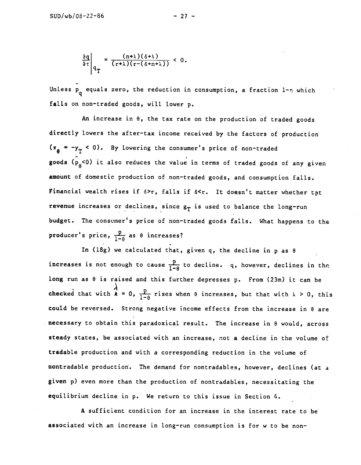Unless  $P_q$  equals zero, the reduction in consumption, a fraction 1- $\eta$  which falls on non-traded goods, will lower p.

An increase in  $\theta$ , the tax rate on the production of traded goods directly lowers the after—tax income received by the factors of production  $= -y_T < 0$ . By lowering the consumer's price of non-traded goods  $(p_{\theta}^2<0)$  it also reduces the value in terms of traded goods of any given amount of domestic production of non—traded goods, and consumption falls. Financial wealth rises if  $\delta$ >r, falls if  $\delta$ <r. It doesn't matter whether tpt revenue increases or declines, since  $s_T$  is used to balance the long-run budget. The consumer's price of non—traded goods fails. What happens to the producer's price,  $\frac{p}{1-\theta}$  as  $\theta$  increases?

In (18g) we calculated that, given q, the decline in p as  $\theta$ increases is not enough to cause  $\frac{p}{1-\theta}$  to decline. q, however, declines in the long run as  $\theta$  is raised and this further depresses p. From (23m) it can be checked that with  $\lambda = 0$ ,  $\frac{p}{1-\theta}$  rises when  $\theta$  increases, but that with  $\lambda > 0$ , this could be reversed. Strong negative income effects from the increase in 8 are . necessary to obtain this paradoxical result. The increase in  $\theta$  would, across steady states, be associated with an increase, not a decline in the volume of tradable production and with a corresponding reduction in the volume of nontradable production. The demand for nontradables, however, declines (at a given p) even more than the production of nontradables, necessitating the equilibrium decline in p. We return to this issue in Section 4.

A sufficient condition for an increase in the interest rate to be associated with an increase in long-run consumption is for w to be non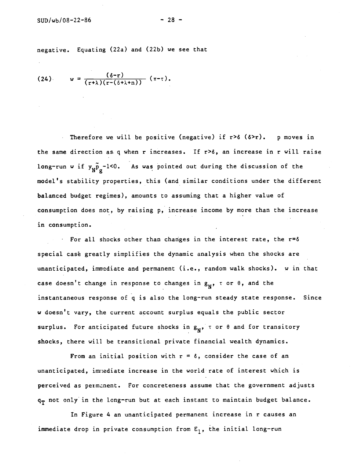negative. Equating (22a) and (22b) we see that

$$
(24) \qquad w = \frac{(\delta-r)}{(r+\lambda)(r-(\delta+\lambda+n))} (\pi-\tau).
$$

Therefore we will be positive (negative) if  $r > \delta$  ( $\delta > r$ ). p moves in the same direction as q when r increases. If r>6, an increase in r will raise long-run w if  $y_N \tilde{p}_\rho$ -1<0. As was pointed out during the discussion of the model's stability properties, this (and similar conditions under the different balanced budget regimes), amounts to assuming that a higher value of consumption does not, by raising p, increase income by more than the increase in consumption.

For all shocks other than changes in the interest rate, the r=6 special case greatly simplifies the dynamic analysis when the shocks are unanticipated, immediate and permanent (i.e., random walk shocks). w in that case doesn't change in response to changes in  $g_N$ ,  $\tau$  or  $\theta$ , and the instantaneous response of q is also the long—run steady state response. Since w doesn't vary, the current account surplus equals the public sector surplus. For anticipated future shocks in  $g_N$ ,  $\tau$  or  $\theta$  and for transitory shocks, there will be transitional private financial wealth dynamics.

From an initial position with  $r = \delta$ , consider the case of an unanticipated, imnediate increase in the world rate of interest which is perceived as permanent. For concreteness assume that the government adjusts  $q_T$  not only in the long-run but at each instant to maintain budget balance.

In Figure 4 an unanticipated permanent increase in r causes an immediate drop in private consumption from  $E_1$ , the initial long-run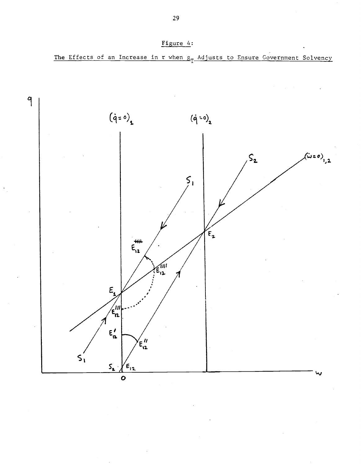

Figure 4:



29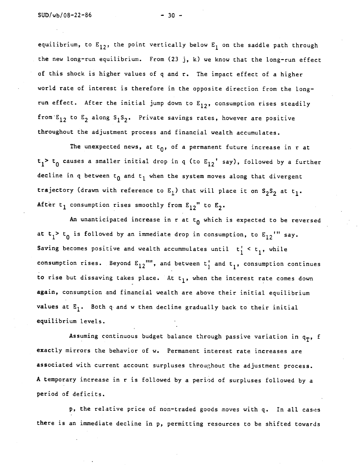equilibrium, to  $E_{12}$ , the point vertically below  $E_1$  on the saddle path through the new long—run equilibrium. From (23 j, k) we know that the long—run effect of this shock is higher values of q and r. The impact effect of a higher world rate of interest is therefore in the opposite direction from the longrun effect. After the initial jump down to  $E_{12}$ , consumption rises steadily from  $E_{12}$  to  $E_2$  along  $S_1S_2$ . Private savings rates, however are positive throughout the adjustment process and financial wealth accumulates.

The unexpected news, at  $t_0$ , of a permanent future increase in r at  $t_1$ >  $t_0$  causes a smaller initial drop in q (to  $E_{12}$ ' say), followed by a further decline in q between  $t_0$  and  $t_1$  when the system moves along that divergent trajectory (drawn with reference to  $E_1$ ) that will place it on  $S_2S_2$  at t<sub>1</sub>. After t<sub>1</sub> consumption rises smoothly from  $E_{12}$ " to  $E_2$ .

An unanticipated increase in r at  $t_0$  which is expected to be reversed at  $t_1$ >  $t_0$  is followed by an immediate drop in consumption, to  $E_{12}$ <sup>'</sup>" say. Saving becomes positive and wealth accummulates until  $t_1^{\prime} < t_1^{\prime}$ , while consumption rises. Beyond  $E_{12}$ "", and between  $t_1^*$  and  $t_1$ , consumption continues to rise but dissaving takes place. At  $t_1$ , when the interest rate comes down again, consumption and financial wealth are above their initial equilibrium values at  $E_1$ . Both q and w then decline gradually back to their initial equilibrium levels.

Assuming continuous budget balance through passive variation in  $q_T$ , f exactly mirrors the behavior of w. Permanent interest rate increases are associated with current account surpluses throu;hout the adjustment process. A temporary increase in r is followed by a perid of surpluses followed by a period of deficits.

p, the relative price of non-traded goods moves with q. In all cases there is an immediate decline in p, permitting resources to be shifted towards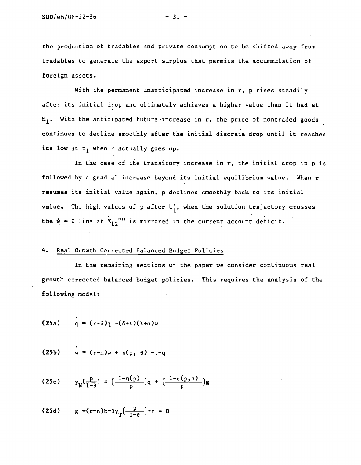the production of tradables and private consumption to be shifted away from tradables to generate the export surplus that permits the accummulation of foreign assets.

With the permanent unanticipated increase in r, p rises steadily after its initial drop and ultimately achieves a higher value than it had at  $E_1$ . With the anticipated future increase in r, the price of nontraded goods continues to decline smoothly after the initial discrete drop until it reaches its low at  $t_1$  when r actually goes up.

In the case of the transitory increase in r, the initial drop in p is followed by a gradual increase beyond its initial equilibrium value. When r resumes its initial value again, p declines smoothly back to its initial value. The high values of p after  $t_1$ , when the solution trajectory crosses the  $\dot{w}$  = 0 line at  $E_{12}$ "" is mirrored in the current account deficit.

## 4. Real Growth Corrected Balanced Budget Policies

In the remaining sections of the paper we consider continuous real growth corrected balanced budget policies. This requires the analysis of the following model:

$$
(25a) \qquad q = (r-\delta)q - (\delta+\lambda)(\lambda+n)w
$$

(25b) 
$$
w = (r-n)w + \pi(p, \theta) - \tau - q
$$

(25c) 
$$
y_N(\frac{p}{1-\theta}) = (\frac{1-\eta(p)}{p})q + (\frac{1-\varepsilon(p,\sigma)}{p})g
$$

(25d) 
$$
g + (r-n)b - \theta y_T \left( \frac{p}{1-\theta} \right) - \tau = 0
$$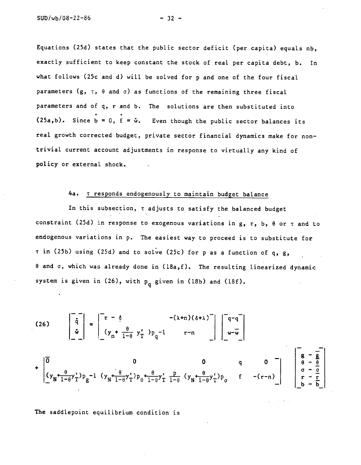Equations (25d) states that the public sector deficit (per capita) equals nb, exactly sufficient to keep constant the stock of real per capita debt, b. In what follows (25c and d) will be solved for p and one of the four fiscal parameters (g,  $\tau$ ,  $\theta$  and  $\sigma$ ) as functions of the remaining three fiscal parameters and of q, r and b. The solutions are then substituted into (25a,b). Since  $\overline{b} = 0$ ,  $\overline{f} = \dot{\omega}$ . Even though the public sector balances its real growth corrected budget, private sector financial dynamics make for nontrivial current account adjustments in response to virtually any kind of policy or external shock.

# 4a. T responds endogenously to maintain budget balance

In this subsection,  $\tau$  adjusts to satisfy the balanced budget constraint (25d) in response to exogenous variations in  $g$ ,  $r$ ,  $b$ ,  $\theta$  or  $\tau$  and to endogenous variations in p. The easiest way to proceed is to substitute for  $\tau$  in (25b) using (25d) and to solve (25c) for p as a function of q, g,  $\theta$  and  $\sigma$ , which was already done in (18a,f). The resulting linearized dynamic system is given in  $(26)$ , with  $p_q$  given in  $(18b)$  and  $(18f)$ .

(26) 
$$
\begin{bmatrix} \dot{q} \\ \dot{q} \\ \dot{w} \end{bmatrix} = \begin{bmatrix} r - \dot{\theta} & -(\lambda + n)(\delta + \lambda)^{-1} \\ (y_n + \frac{\theta}{1 - \theta} y_1^+) p_q - 1 & r - n \end{bmatrix} \begin{bmatrix} q - q \\ w - \overline{w} \end{bmatrix}
$$

$$
+ \begin{bmatrix} \overline{0} & 0 & 0 & q & 0 \\ (y_n + \frac{\theta}{1 - \theta} y_1^+) p_g - 1 & (y_n + \frac{\theta}{1 - \theta} y_1^+) p_\theta + \frac{\theta}{1 - \theta} y_1^+ \frac{p}{1 - \theta} & (y_n + \frac{\theta}{1 - \theta} y_1^+) p_\theta & f & -(r - n) \end{bmatrix} \begin{bmatrix} g - \overline{g} \\ \overline{g} - \overline{g} \\ \overline{g} \\ \overline{g} - \overline{g} \\ \overline{g} \\ \overline{g} - \overline{g} \\ \overline{g} \\ \overline{g} - \overline{g} \\ \overline{g} \\ \overline{h} - \overline{h} \end{bmatrix}
$$

The saddlepoint equilibrium condition is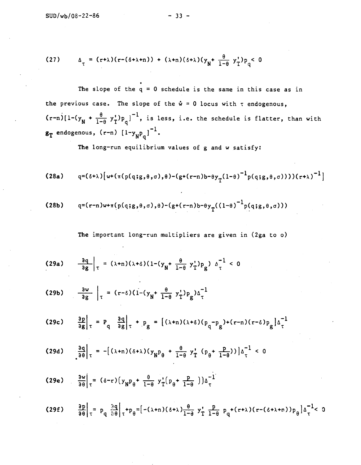(27) 
$$
\Delta_{\tau} = (r+\lambda)(r-(\delta+\lambda+n)) + (\lambda+n)(\delta+\lambda)(y_{N} + \frac{\theta}{1-\theta} y_{T}^{*})p_{q} < 0
$$

The slope of the  $q = 0$  schedule is the same in this case as in the previous case. The slope of the  $\dot{w} = 0$  locus with  $\tau$  endogenous,  $(r-n)[1-(y_N + \frac{\theta}{1-\theta} y_1^*)_p_q]^{-1}$ , is less, i.e. the schedule is flatter, than with endogenous, (r-n)  $\left[1-\mathrm{y}_{_{\mathrm{N}}\mathrm{P}_{_{\mathrm{o}}}}\right]^{-1}$ .

The long-run equilibrium values of g and w satisfy:

(28a) 
$$
q=(\delta+\lambda)[w+(\pi(p(q;g,\theta,\sigma),\theta)-(g+(r-n)b-\theta y_{T}(1-\theta)^{-1}p(q;g,\theta,\sigma)))(r+\lambda)^{-1}]
$$

(28b) 
$$
q=(r-n)w+\pi(p(q;g,\theta,\sigma),\theta)-(g+(r-n)b-\theta y_{T}((1-\theta)^{-1}p(q;g,\theta,\sigma)))
$$

The important long-run multipliers are given in (2ga to o)

$$
(29a) \qquad \frac{3q}{9g}\bigg|_{T} = (\lambda+n)(\lambda+\delta)(1-(y_{N}+\frac{\theta}{1-\theta}y_{T}^{\prime})p_{g}) \Delta_{T}^{-1} < 0
$$

$$
(29b) \qquad \frac{\partial w}{\partial g} \Big|_{\tau} = (r-\delta)(1-(y_N + \frac{\theta}{1-\theta} y_T^*)p_g)\Delta_{\tau}^{-1}
$$

$$
(29c) \quad \frac{ap}{ag}\Big|_{\tau} = P_q \quad \frac{aq}{ag}\Big|_{\tau} + P_g = \left[ (\lambda + n)(\lambda + \delta)(p_q - p_g) + (r - n)(r - \delta)p_g \right] \Delta_{\tau}^{-1}
$$

$$
(29d) \quad \frac{2q}{2\theta}\bigg|_{\tau} = -[(\lambda+n)(\delta+\lambda)(y_{\text{N}}P_{\theta} + \frac{\theta}{1-\theta} y_{\text{T}}^{\dagger} (p_{\theta} + \frac{p}{1-\theta}))]\Delta_{\tau}^{-1} < 0
$$

(29e) 
$$
\frac{\partial \mathbf{w}}{\partial \theta}\Big|_{\tau} = (\delta - r) (y_{N} \mathbf{p}_{\theta} + \frac{\theta}{1 - \theta} y_{T}^{*} (\mathbf{p}_{\theta} + \frac{\mathbf{p}}{1 - \theta} ) ) \Delta_{\tau}^{-1}
$$

$$
(29f) \qquad \frac{ap}{q\theta}\Big|_{\tau} = p_q \frac{3q}{\theta \theta}\Big|_{\tau} + p_{\theta} = \Big[ -(\lambda + n)(\delta + \lambda) \frac{\theta}{1 - \theta} y_T^* \frac{p}{1 - \theta} p_q + (r + \lambda)(r - (\delta + \lambda + n)) p_{\theta} \Big] \Delta_{\tau}^{-1} < 0
$$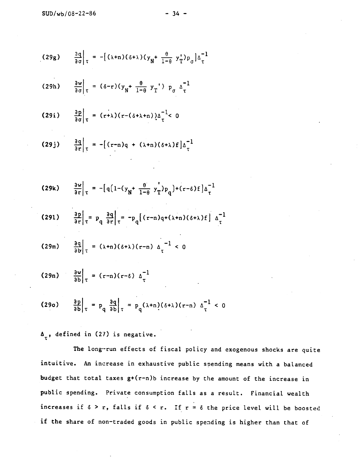$$
(29g) \qquad \frac{3q}{d\sigma}\bigg|_{\tau} = -[(\lambda+n)(\delta+\lambda)(y_N + \frac{\theta}{1-\theta} y_T^{\dagger})p_{\sigma}] \Delta_{\tau}^{-1}
$$

$$
(29h) \qquad \frac{\partial w}{\partial \sigma}\Big|_{\tau} = (\delta - r)(y_N + \frac{\theta}{1 - \theta} y_T) \ p_{\sigma} \Delta_{\tau}^{-1}
$$

$$
(29i) \qquad \frac{\partial p}{\partial \sigma}\Big|_{\tau} = (r+\lambda)(r-(\delta+\lambda+n))\Delta_{\tau}^{-1} < 0
$$

$$
(29j) \qquad \frac{\partial q}{\partial r}\bigg|_{T} = -[(r-n)q + (\lambda+n)(\delta+\lambda)f]\Delta_{T}^{-1}
$$

$$
(29k) \qquad \frac{\partial w}{\partial r}\bigg|_{\tau} = -\big[q\big(1-(y_{N}+\frac{\theta}{1-\theta}y_{T}^{\dagger})p_{q}\big)+(r-\delta)f\big]\Delta_{\tau}^{-1}
$$

$$
(291) \qquad \frac{\partial p}{\partial r}\bigg|_{\tau} = p_q \left[\frac{\partial q}{\partial r}\bigg|_{\tau} = -p_q \left[ (r-n)q + (\lambda+n)(\delta + \lambda) f \right] \Delta \bigg]^{-1}
$$

$$
(29m) \qquad \frac{\partial q}{\partial b}\Big|_{\tau} = (\lambda + n)(\delta + \lambda)(r - n) \Delta_{\tau}^{-1} < 0
$$

$$
(29n) \qquad \frac{\partial w}{\partial b}\Big|_{\tau} = (r-n)(r-\delta) \Delta_{\tau}^{-1}
$$

$$
(290) \qquad \frac{\partial p}{\partial b}\bigg|_{\tau} = p_q \frac{\partial q}{\partial b}\bigg|_{\tau} = p_q(\lambda+n)(\delta+\lambda)(r-n) \Delta\frac{1}{\tau} < 0
$$

 $\Delta_{\tau}$ , defined in (27) is negative.

The long-run effects of fiscal policy and exogenous shocks are quite intuitive. An increase in exhaustive public spending means with a balanced budget that total taxes g+(r—n)b increase by the amount of the increase in public spending. Private consumption falls as a result. Financial wealth increases if  $\delta > r$ , falls if  $\delta < r$ . If  $r = \delta$  the price level will be boosted if the share of non—traded goods in public spending is higher than that of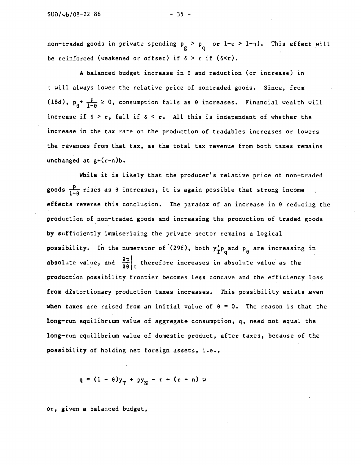non-traded goods in private spending  $p$  >  $p$  or l- $\epsilon$  > l- $\eta$ ). This effect will be reinforced (weakened or offset) if  $\delta > r$  if ( $\delta < r$ ).

A balanced budget increase in 0 and reduction (or increase) in <sup>t</sup> will always lower the relative price of nontraded goods. Since, from (18d),  $p_{\theta}^+$   $\frac{p}{1-\theta} \ge 0$ , consumption falls as  $\theta$  increases. Financial wealth will increase if  $\delta > r$ , fall if  $\delta < r$ . All this is independent of whether the increase in the tax rate on the production of tradables increases or Lowers the revenues from that tax, as the total tax revenue from both taxes remains unchanged at  $g^+(r-n)b$ .

While it is likely that the producer's relative price of non-traded goods  $\frac{p}{1-a}$  rises as  $\theta$  increases, it is again possible that strong income effects reverse this conclusion. The paradox of an increase in 0 reducing the production of non-traded goods and increasing the production of traded goods by sufficiently immiserizing the private sector remains a logical possibility. In the numerator of (29f), both  $y_T^*p_q$  and  $p_{\theta}$  are increasing in absolute value, and  $\frac{3E}{30}$  therefore increases in absolute value as the production possibility frontier becomes less concave and the efficiency loss from distortionary production taxes increases. This possibility exists .even when taxes are raised from an initial value of  $\theta = 0$ . The reason is that the long—run equilibrium value of aggregate consumption, q, need not equal the long—run equilibrium value of domestic product, after taxes, because of the possibility of holding net foreign assets, i.e.,

 $q = (1 - \theta)y_{T} + py_{N} - \tau + (r - n) w$ 

or, given a balanced budget,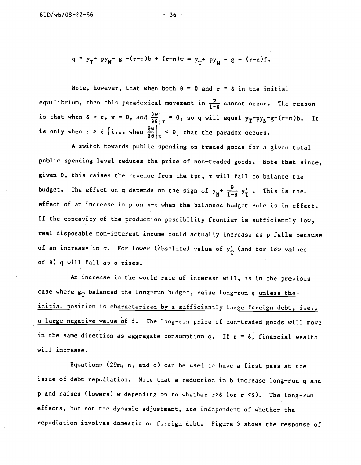$$
q = y_T + py_N - g - (r-n)b + (r-n)w = y_T + py_N - g + (r-n)f
$$
.

Note, however, that when both  $\theta = 0$  and  $r = \delta$  in the initial equilibrium, then this paradoxical movement in  $\frac{p}{1-\theta}$  cannot occur. The reason is that when  $\delta = r$ ,  $w = 0$ , and  $\frac{\partial w}{\partial \theta}\Big|_{\tau} = 0$ , so q will equal  $y_T + py_N - g - (r-n)b$ . It is only when  $r > \delta$  [i.e. when  $\frac{\partial w}{\partial \theta}\Big|_{\tau} < 0$ ] that the paradox occurs.

A switch towards public spending on traded goods for a given total public spending level reduces the price of non—traded goods. Note that since, given  $\theta$ , this raises the revenue from the tpt,  $\tau$  will fall to balance the budget. The effect on q depends on the sign of  $y_N^+$   $\frac{\theta}{1-\theta}$   $y_T^*$  . This is the. effect of an increase in p on  $\pi$ -t when the balanced budget rule is in effect. If the concavity of the production possibility frontier is sufficiently low, real disposable non-interest income could actually increase as p falls because of an increase in  $\sigma$ . For lower (absolute) value of  $y_T^{\dagger}$  (and for low values of 9) q will fall as a rises.

An increase in the world rate of interest will, as in the previous case where  $g_T$  balanced the long-run budget, raise long-run q unless the. initial position is characterized by a sufficiently large foreign debt, i.e., a large negative value of f. The long-run price of non-traded goods will move in the same direction as aggregate consumption q. If  $r = \delta$ , financial wealth will increase.

Equations (29m, n, and o) can be used to have a first pass at the issue of debt repudiation. Note that a reduction in b increase long-run q and p and raises (lowers) w depending on to whether  $r > \delta$  (or r <  $\delta$ ). The long-run effects, but not the dynamic adjustment, are independent of whether the repudiation involves domestic or foreign debt. Figure 5 shows the response of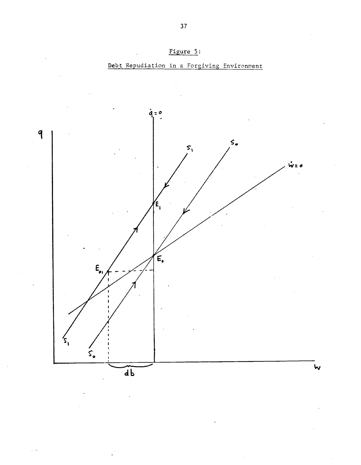

Debt Repudiation in a Forgiving Environment

Figure 5: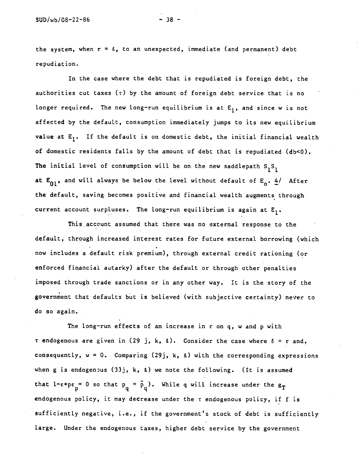the system, when  $r = \delta$ , to an unexpected, immediate (and permanent) debt repudiation..

In the case where the debt that is repudiated is foreign debt, the authorities cut taxes ( $\tau$ ) by the amount of foreign debt service that is no longer required. The new long-run equilibrium is at  $E_1$ , and since w is not affected by the default, consumption immediately jumps to its new equilibrium value at  $E_1$ . If the default is on domestic debt, the initial financial wealth of domestic residents falls by the amount of debt that is repudiated  $(db < 0)$ . The initial level of consumption will be on the new saddlepath  $S_1S_1$ at  $E_{01}$ , and will always be below the level without default of  $E_0$ .  $4/$  After the default, saving becomes positive and financiaL wealth augments through current account surpluses. The long-run equilibrium is again at  $E_1$ .

This account assumed that there was no external response to the default, through increased interest rates for future external borrowing (which now includes a default risk premium), through external credit rationing (or enforced financial. autarky) after the default or through other penalties imposed through trade sanctions or in any other way. It is the story of the government that defaults but is believed (with subjective certainty) never to do so again.

The long-run effects of an increase in r on q, w and p with  $\tau$  endogenous are given in (29 j, k, 2). Consider the case where  $\delta = r$  and, consequently,  $w = 0$ . Comparing (29j, k,  $\ell$ ) with the corresponding expressions when g is endogenous (33j, k,  $\ell$ ) we note the following. (It is assumed that  $1$ - $\varepsilon$ + $p\varepsilon$ <sub>-</sub> 0 so that  $p_{\rho} = p_{\rho}$ )  $\mathbf{p}_{\mathbf{q}} = \tilde{\mathbf{p}}_{\mathbf{q}}$ ). While q will increase under the  $\mathbf{g}_{\mathbf{T}}$ endogenous policy, it may decrease under the t endogenous policy, if f is sufficiently negative, i.e., if the government's stock of debt is sufficiently large. Under the endogenous taxes, higher debt service by the government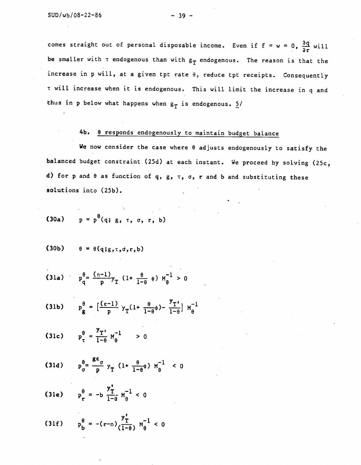comes straight out of personal disposable income. Even if  $f = w = 0$ ,  $\frac{\partial q}{\partial r}$  will be smaller with  $\tau$  endogenous than with  $g_T$  endogenous. The reason is that the increase in p will, at a given tpt rate 9, reduce tpt receipts. Consequently <sup>t</sup> will increase when it is endogenous. This will Limit the increase in q and thus in p below what happens when  $g_T$  is endogenous.  $\frac{5}{4}$ 

# 4b. <u>0 responds endogenously to maintain budget balance</u>

We now consider the case where 8 adjusts endogenously to satisfy the balanced budget constraint (25d) at each instant. We proceed by solving (25c, d) for p and  $\theta$  as function of q, g,  $\tau$ ,  $\sigma$ , r and b and substituting these solutions into (25b).

(30a) 
$$
p = p^{\theta}(q; g, \tau, \sigma, r, b)
$$

$$
(30b) \qquad \theta = \theta(q;g,\tau,\sigma,r,b)
$$

(31a) 
$$
p_q^{\theta} = \frac{(n-1)}{p}y_T
$$
 (1+  $\frac{\theta}{1-\theta}$   $\phi$ )  $M_q^{-1} > 0$ 

(31b) 
$$
p_g^{\theta} = \left[\frac{(\epsilon - 1)}{p} y_T(1 + \frac{\theta}{1 - \theta}\phi) - \frac{y_T}{1 - \theta}\right] M_{\theta}^{-1}
$$

(31c) 
$$
p_{\tau}^{\theta} = \frac{y_{\tau}}{1-\theta} M_{\theta}^{-1} > 0
$$

(31d) 
$$
p_{\sigma}^{\theta} = \frac{g \epsilon_{\sigma}}{p} y_{T} (1 + \frac{\theta}{1-\theta} \phi) M_{\theta}^{-1} < 0
$$

(31e) 
$$
p_r^{\theta} = -b \frac{y_T^2}{1-\theta} M_{\theta}^{-1} < 0
$$

(31f) 
$$
p_b^{\theta} = -(r-n) \frac{y_T^{\prime}}{(1-\theta)} w_{\theta}^{-1} < 0
$$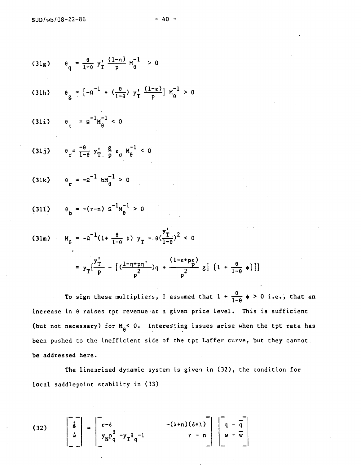(31g) 
$$
\theta_q = \frac{\theta}{1-\theta} y_T^{\prime} \frac{(1-\eta)}{p} M_{\theta}^{-1} > 0
$$
  
\n(31h)  $\theta_g = [-a^{-1} + (\frac{\theta}{1-\theta}) y_T^{\prime} \frac{(1-\epsilon)}{p}] M_{\theta}^{-1} > 0$   
\n(31i)  $\theta_T = a^{-1} M_{\theta}^{-1} < 0$   
\n(31j)  $\theta_g = \frac{-\theta}{1-\theta} y_T^{\prime} \frac{g}{p} \epsilon_g M_{\theta}^{-1} < 0$   
\n(31k)  $\theta_T = -a^{-1} b M_{\theta}^{-1} > 0$   
\n(31l)  $\theta_b = -(r-n) a^{-1} M_{\theta}^{-1} > 0$   
\n(31l)  $\theta_b = -(r-n) a^{-1} M_{\theta}^{-1} > 0$   
\n(31m)  $M_{\theta} = -a^{-1} (1 + \frac{\theta}{1-\theta} \phi) y_T - \theta (\frac{y_T^{\prime}}{1-\theta})^2 < 0$ 

$$
= y_{\text{T}}\left\{\frac{y_{\text{T}}^{\prime}}{p} - \left[ \left( \frac{1-\eta + p\eta^{\prime}}{p} \right)q + \frac{(1-\epsilon+p\epsilon)}{p^2} g \right] \left( 1 + \frac{\theta}{1-\theta} \phi \right) \right] \}
$$

To sign these multipliers, I assumed that  $1 + \frac{\theta}{1-\theta} \phi > 0$  i.e., that an increase in  $\theta$  raises tpt revenue at a given price level. This is sufficient (but not necessary) for  $M_{\theta}$ < 0. Interesting issues arise when the tpt rate has been pushed to the inefficient side of the tpt Laffer curve, but they cannot be addressed here

The linearized dynamic system is given in (32), the condition for local saddlepoint stability in (33)

(32) 
$$
\begin{bmatrix} \vec{g} \\ \vec{g} \\ \vec{w} \end{bmatrix} = \begin{bmatrix} r-\delta & -( \lambda+n) (\delta + \lambda ) \\ y_N P_q^{\theta} - y_T \theta_q^{-1} & r-n \end{bmatrix} \begin{bmatrix} q - \overline{q} \\ w - \overline{w} \end{bmatrix}
$$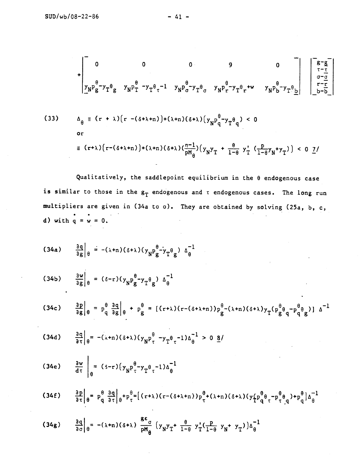$$
\begin{vmatrix}\n0 & 0 & 0 & 9 & 0 \\
\frac{y}{N}p_{g}^{\theta} - y_{T}^{\theta}g & y_{N}p_{T}^{\theta} - y_{T}^{\theta}t^{-1} & y_{N}p_{g}^{\theta} - y_{T}^{\theta}g & y_{N}p_{r}^{\theta} - y_{T}^{\theta}t^{+w} & y_{N}p_{b}^{\theta} - y_{T}^{\theta}g\n\end{vmatrix} = (r + \lambda)(r - (\delta + \lambda + n)) + (\lambda + n)(\delta + \lambda)(y_{N}p_{q}^{\theta} - y_{T}^{\theta}g) < 0
$$
\nor\n
$$
\equiv (r + \lambda)(r - (\delta + \lambda + n)) + (\lambda + n)(\delta + \lambda)(y_{N}p_{q}^{\theta} - y_{T}^{\theta}g) < 0
$$

Qualitatively, the saddlepoint equilibrium in the  $\theta$  endogenous case is similar to those in the  $g_T$  endogenous and  $\tau$  endogenous cases. The long run multipliers are given in (34a to o). They are obtained by solving (25a, b, c, d) with  $q = w = 0$ .

$$
(34a) \qquad \frac{\partial q}{\partial g}\Big|_{\theta} = -(\lambda + n)(\delta + \lambda)(y_N p_g^{\theta} - y_T \theta_g) \Delta_{\theta}^{-1}
$$

$$
(34b) \qquad \frac{\partial w}{\partial g}\Big|_{\theta} = (\delta - r)(y_N p_g^{\theta} - y_T \theta_g) \Delta_{\theta}^{-1}
$$

$$
(34c) \qquad \frac{\partial p}{\partial g}\Big|_{\theta} = p_q^{\theta} \frac{\partial q}{\partial g}\Big|_{\theta} + p_g^{\theta} = [(r+\lambda)(r-(\delta+\lambda+n))p_g^{\theta}-(\lambda+n)(\delta+\lambda)y_T(p_g^{\theta}q-p_q^{\theta}q_g)] \Delta^{-1}
$$

$$
(34d) \qquad \frac{\partial q}{\partial \tau}\Big|_{\theta} = -(\lambda + n)(\delta + \lambda)(y_N p_{\tau}^{\theta} - y_T \theta_{\tau}^{-1})\Delta_{\theta}^{-1} > 0 \underline{8}
$$

(34e) 
$$
\frac{\partial w}{\partial \tau}\Big|_{\theta} = (s-r)\left(y_{N}p_{\tau}^{\theta} - y_{T}\theta_{\tau}^{-1}\right)\Delta_{\theta}^{-1}
$$

(34f) 
$$
\frac{\partial p}{\partial \tau}\Big|_{\theta} = p_q^{\theta} \frac{\partial q}{\partial \tau}\Big|_{\theta} + p_{\tau}^{\theta} = \left[ (r+\lambda)(r - (\delta + \lambda + n))p_{\tau}^{\theta} + (\lambda + n)(\delta + \lambda)(y_{\tau}^{\theta}p_{q}^{\theta} - p_{\tau}^{\theta}q) + p_{q}^{\theta} \Big|_{\theta}^{1} \right]
$$

$$
(34g) \qquad \frac{\partial q}{\partial \sigma}\Big|_{\theta} = -(\lambda + n)(\delta + \lambda) \frac{g \epsilon}{p M_{\theta}} (y_N y_T + \frac{\theta}{1-\theta} y_T'(\frac{p}{1-\theta} y_N + y_T)) \Delta_{\theta}^{-1}
$$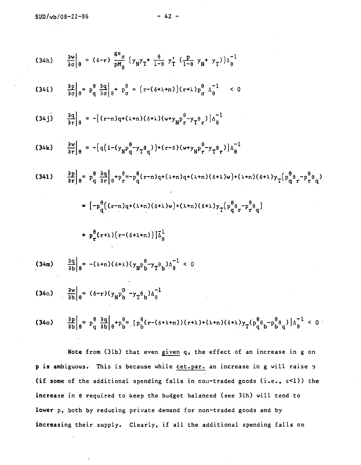$$
(34h) \frac{\partial v}{\partial \sigma} \Big|_{\theta} = (\delta - r) \frac{g\sigma}{pH_{\theta}} \Big( y_{N}y_{T} + \frac{\theta}{1-\theta} y_{T}^{T} \Big( \frac{p}{1-\theta} y_{N} + y_{T} \Big) \Big) \Big|_{\theta}^{-1}
$$
\n
$$
(34i) \frac{\partial p}{\partial \sigma} \Big|_{\theta} = p_{q}^{\theta} \frac{3q}{3\sigma} \Big|_{\theta} + p_{\sigma}^{\theta} = (r - (\delta + \lambda + n)) (r + \lambda) p_{\sigma}^{\theta} \Big|_{\theta}^{-1} < 0
$$
\n
$$
(34j) \frac{\partial q}{\partial r} \Big|_{\theta} = -[(r - n)q + (\lambda + n)(\delta + \lambda)(\omega + y_{N}p_{T}^{\theta} - y_{T}^{\theta}r)] \Big|_{\theta}^{-1}
$$
\n
$$
(34k) \frac{\partial v}{\partial r} \Big|_{\theta} = -[q(1 - (y_{N}p_{q}^{\theta} - y_{T}^{\theta}q)) + (r - \delta)(\omega + y_{N}p_{T}^{\theta} - y_{T}^{\theta}r)] \Big|_{\theta}^{-1}
$$
\n
$$
(34k) \frac{\partial v}{\partial r} \Big|_{\theta} = p_{q}^{\theta} \frac{3q}{\sigma r} \Big|_{\theta} + p_{T}^{\theta} = -p_{q}^{\theta} (r - n)q + (\lambda + n)(\delta + \lambda)w + (\lambda + n)(\delta + \lambda) y_{T} \Big( p_{q}^{\theta} q_{T} - p_{T}^{\theta} q \Big)
$$
\n
$$
= [-p_{q}^{\theta} \Big( (r - n)q + (\lambda + n)(\delta + \lambda)w + (\lambda + n)(\delta + \lambda) y_{T} \Big( p_{q}^{\theta} q_{T} - p_{T}^{\theta} q \Big)
$$
\n
$$
+ p_{r}^{\theta} (r + \lambda) \Big( r - (\delta + \lambda + n) \Big) \Big|_{\theta}^{-1}
$$
\n
$$
(34m) \frac{\partial q}{\partial b} \Big|_{\theta} = -(\lambda + n)(\delta + \lambda) (y_{N}p_{D}^{\theta} - y_{T}^{\theta}p_{N}) \Big|_{\theta}^{-1}
$$
\n

Note from (31b) that even given q, the effect of an increase in g on p is ambiguous. This is because while cet.par. an increase in g will raise p (if some of the additional spending falls in non-traded goods (i.e.,  $\varepsilon$ <1)) the increase in 8 required to keep the budget balanced (see 31h) will tend to lower p, both by reducing private demand for non—traded goods and by increasing their supply. Clearly, if all the additional spending falls on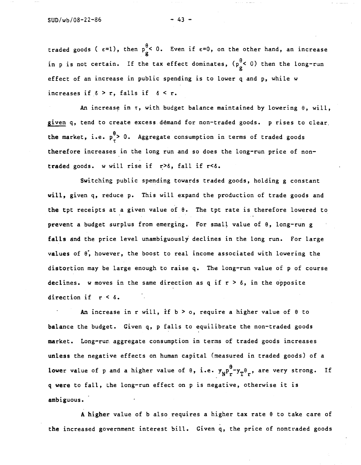traded goods ( $\varepsilon=1$ ), then  $p_{g}^{\theta}<0$ . Even if  $\varepsilon=0$ , on the other hand, an increase in p is not certain. If the tax effect dominates,  $(p_g^{\theta} < 0)$  then the long-run effect of an increase in public spending is to lower q and p, while w increases if  $\delta > r$ , falls if  $\delta < r$ .

An increase in  $\tau$ , with budget balance maintained by lowering  $\theta$ , will, given q, tend to create excess demand for non—traded goods. p rises to clear. the market, i.e.  $p^{\theta}_{r}$  0. Aggregate consumption in terms of traded goods therefore increases in the long run and so does the long-run price of nontraded goods. w will rise if  $r > \delta$ , fall if  $r < \delta$ .

Switching public spending towards traded goods, holding g constant will, given q, reduce p. This will expand the production of trade goods and the tpt receipts at a given value of 8. The tpt rate is therefore lowered to prevent a budget surplus from emerging. For small value of  $\theta$ , long-run g falls and the price level unambiguously declines in the long run. For large values of 8', however, the boost to real income associated with lowering the distortion may be large enough to raise q. The long-run value of p of course declines. w moves in the same direction as q if  $r > \delta$ , in the opposite direction if  $r < \delta$ .

An increase in r will, if  $b > o$ , require a higher value of  $\theta$  to balance the budget. Given q, p falls to equilibrate the non-traded goods market. Long—run aggregate consumption in terms of traded goods increases unless the negative effects on human capital (measured in traded goods) of a lower value of p and a higher value of  $\theta$ , i.e.  $y_N^{\theta}P_r^{\theta}y_T^{\theta}$ , are very strong. If q were to fall, the long—run effect on p is negative, otherwise it is ambiguous. **-** Contract of -

A higher value of b also requires a higher tax rate 8 to take care of the increased government interest bill. Given q, the price of nontraded goods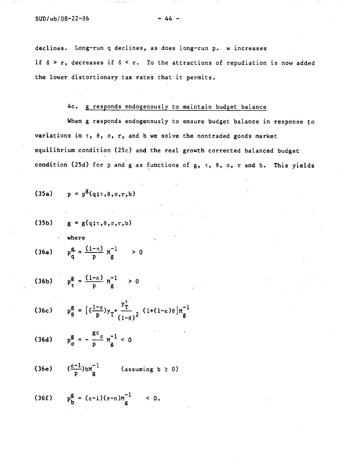declines. Long-run q declines, as does long-run p. w increases if  $\delta > r$ , decreases if  $\delta < r$ . To the attractions of repudiation is now added the lower distortionary tax rates that it permits.

# 4c. g responds endogenously to maintain budget balance

When g responds endogenously to ensure budget balance in response to variations in r, e, a, r, and b we solve the nontraded goods market equilibrium condition (25c) and the real growth corrected balanced budget condition (25d) for p and g as functions of g,  $\tau$ ,  $\theta$ ,  $\sigma$ , r and b. This yields

$$
(35a) \qquad p = p^g(q; \tau, \theta, \sigma, r, b)
$$

 $(35b)$  g = g(q; $\tau$ , $\theta$ , $\sigma$ , $\tau$ , $b$ ) where

$$
(36a) \t pqg = \frac{(1-\eta)}{p} Mg-1 > 0
$$

(36b)  $p_{\tau}^{g} = \frac{(1-\epsilon)}{p} M_{g}^{-1} > 0$ 

$$
(36c) \t p_\theta^g = \left[ \left( \frac{1-\epsilon}{p} \right) y_T + \frac{y_T^{\prime}}{(1-\theta)^2} \left( 1 + (1-\epsilon)\theta \right) M_g^{-1} \right]
$$

$$
(36d) \t p_{\sigma}^g = -\frac{g \epsilon_{\sigma}}{p} M_{g}^{-1} < 0
$$

(36e) 
$$
(\frac{\varepsilon-1}{p})bM\frac{1}{g}
$$
 (assuming  $b \ge 0$ )

$$
(36f) \t pbg = (\varepsilon-1)(r-n)Mg-1 < 0.
$$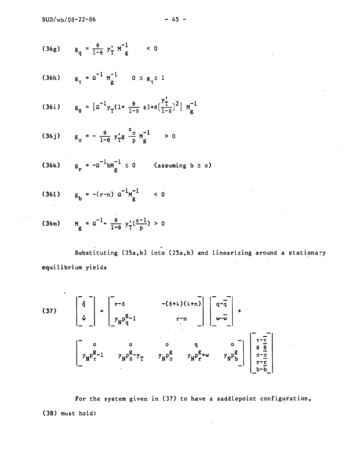$$
(36g) \t g_q = \frac{\theta}{1-\theta} y'_T M^{-1} g \t 0
$$

(36h) 
$$
g_{\tau} = \Omega^{-1} M_g^{-1} \qquad 0 \le g_{\tau} \le 1
$$

(36i) 
$$
g_{\theta} = [a^{-1}y_T(1 + \frac{\theta}{1-\theta} \phi) + \theta(\frac{y'_T}{1-\theta})^2] M_g^{-1}
$$

(36j) 
$$
g_{\sigma} = -\frac{\theta}{1-\theta} y_{T}^{\dagger} g \frac{g}{\theta} M_{g}^{-1} > 0
$$

$$
(36k) \qquad g_r = -\Omega^{-1}bM_g^{-1} \leq 0 \qquad \text{(assuming } b \geq 0)
$$

$$
(361) \t g_b = -(r-n) a^{-1} M_g^{-1} < 0
$$

(36m) 
$$
M_g = \Omega^{-1} + \frac{\theta}{1-\theta} y_T^{\dagger} (\frac{\epsilon - 1}{p}) > 0
$$

Substituting (35a,b) into (25a,b) and linearizing around a stationary  $\mathcal{L}_{\mathcal{L}}$  $\lambda$ equilibrium yields

(37)
$$
\begin{bmatrix} \dot{q} \\ \dot{w} \end{bmatrix} = \begin{bmatrix} r-\delta & -(\delta+\lambda)(\lambda+n) \\ y_Np_q^{g-1} & r-n \end{bmatrix} \begin{bmatrix} q-\overline{q} \\ w-\overline{w} \end{bmatrix} + \begin{bmatrix} 0 & 0 & 0 & q & 0 \\ y_Np_q^{g-1} & y_Np_q^{g-1} & y_Np_q^{g-1} & y_Np_q^{g-1} & y_Np_q^{g-1} \end{bmatrix}
$$

For the system given in (37) to have a saddlepoint configuration, (38) must hold: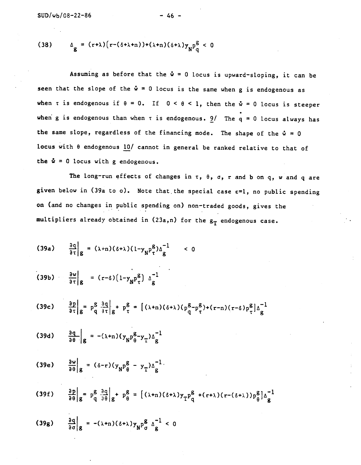$$
(38) \qquad \Delta_g = (r+\lambda)\big(r-(\delta+\lambda+n)\big)+(\lambda+n)(\delta+\lambda)y_NP_q^g < 0
$$

Assuming as before that the  $\dot{w} = 0$  locus is upward-sloping, it can be seen that the slope of the  $\dot{w} = 0$  locus is the same when g is endogenous as when  $\tau$  is endogenous if  $\theta = 0$ . If  $0 < \theta < 1$ , then the  $\dot{\omega} = 0$  locus is steeper when g is endogenous than when  $\tau$  is endogenous.  $9/$  The q = 0 locus always has the same slope, regardless of the financing mode. The shape of the  $\dot{w} = 0$ locus with  $\theta$  endogenous 10/ cannot in general be ranked relative to that of the  $\dot{w} = 0$  locus with g endogenous.

The long-run effects of changes in  $\tau$ ,  $\theta$ ,  $\sigma$ , r and b on q, w and q are given below in (39a to o). Note that the special case  $\varepsilon=1$ , no public spending on (and no changes in public spending on) non—traded goods, gives the multipliers already obtained in  $(23a,n)$  for the  $g_T$  endogenous case.

(39a) 
$$
\frac{\partial q}{\partial \tau}|_g = (\lambda + n)(\delta + \lambda)(1 - y_N p_\tau^B) \Delta \frac{1}{g}
$$
   
\n(39b)  $\frac{\partial w}{\partial \tau}|_g = (r - \delta)(1 - y_N p_\tau^B) \Delta \frac{1}{g}$   
\n(39c)  $\frac{\partial p}{\partial \tau}|_g = p_q^S \frac{\partial q}{\partial \tau}|_g + p_\tau^B = [(\lambda + n)(\delta + \lambda)(p_q^B - p_\tau^B) + (r - n)(r - \delta)p_\tau^B] \Delta \frac{1}{g}$   
\n(39d)  $\frac{\partial q}{\partial \theta}|_g = -(\lambda + n)(y_N p_\theta^B - y_T) \Delta \frac{1}{g}$   
\n(39e)  $\frac{\partial w}{\partial \theta}|_g = (\delta - r)(y_N p_\theta^B - y_T) \Delta \frac{1}{g}$   
\n(39f)  $\frac{\partial p}{\partial \theta}|_g = p_q^g \frac{\partial q}{\partial \theta}|_g + p_\theta^g = [(\lambda + n)(\delta + \lambda)y_T p_q^B + (r + \lambda)(r - (\delta + \lambda)) p_\theta^B] \Delta \frac{1}{g}$   
\n(39g)  $\frac{\partial q}{\partial \theta}|_g = -(\lambda + n)(\delta + \lambda)y_N p_\sigma^B \Delta \frac{1}{g} < 0$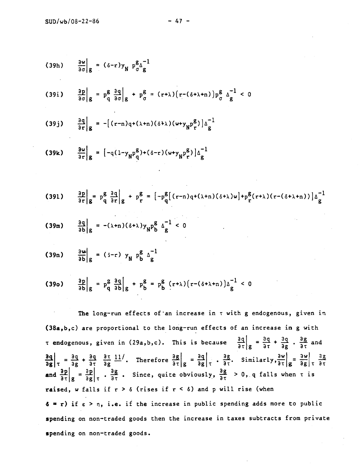(39h) 
$$
\frac{\partial w}{\partial \sigma}|_{g} = (\delta - r) y_{N} p_{\sigma}^{g} \Delta \frac{1}{g}
$$
  
(39i) 
$$
\frac{\partial p}{\partial \sigma}|_{g} = p_{q}^{g} \frac{\partial q}{\partial \sigma}|_{g} + p_{\sigma}^{g} = (r+\lambda)(r - (\delta + \lambda + n)) p_{\sigma}^{g} \Delta \frac{1}{g} < 0
$$

$$
(39j) \qquad \frac{\partial q}{\partial r}\Big|_{g} = -[(r-n)q+(\lambda+n)(\delta+\lambda)(w+y_{N}p_{r}^{g})]\Delta_{g}^{-1}
$$

(39k) 
$$
\frac{\partial w}{\partial r}\Big|_{g} = [-q(1-y_{N}p_{q}^{g})+(\delta-r)(w+y_{N}p_{r}^{g})]\Delta_{g}^{-1}
$$

$$
(391) \qquad \frac{\partial p}{\partial r}\bigg|_{g} = p\frac{g}{q}\left.\frac{\partial q}{\partial r}\right|_{g} + p\frac{g}{r} = \left[-p\frac{g}{q}\left[\left(r-n\right)q+\left(\lambda+n\right)\left(\delta+\lambda\right)w\right] + p\frac{g}{r}\left(r+\lambda\right)\left(r-\left(\delta+\lambda+n\right)\right)\right]\Delta\frac{1}{g}
$$

$$
(39m) \qquad \frac{3q}{3b|g} = -(\lambda + n)(\delta + \lambda)y_N^{\beta} \Delta_g^{-1} < 0
$$

$$
(39n) \qquad \frac{\partial w}{\partial b}\Big|g = (5-r) y_N p_b^g \Delta_g^{-1}
$$

$$
(39o) \qquad \frac{ap}{ab}\bigg|_{g} = p_{q}^{2} \frac{aq}{ab}\bigg|_{g} + p_{b}^{g} = p_{b}^{g} (r+\lambda) (r - (\delta + \lambda + n))\Delta \frac{1}{g} < 0
$$

The long-run effects of an increase in  $\tau$  with g endogenous, given in (38a,b,c) are proportional to the long—run effects of an increase in g with  $\tau$  endogenous, given in (29a,b,c). This is because  $\frac{\partial q}{\partial \tau}\Big|g = \frac{\partial q}{\partial \tau} + \frac{\partial q}{\partial g}$ .  $\frac{\partial g}{\partial \tau}$  and ogenous, given in (29a,b,c). This is because  $\frac{\partial q}{\partial \tau}\Big|g = \frac{\partial q}{\partial \tau} + \frac{\partial q}{\partial g}$ .  $\frac{\partial g}{\partial \tau}$  and<br>=  $\frac{\partial q}{\partial g} + \frac{\partial q}{\partial \tau} \frac{\partial \tau}{\partial g} \frac{11}{L}$ . Therefore  $\frac{\partial g}{\partial \tau}\Big|g = \frac{\partial q}{\partial g}\Big|_{\tau}$ .  $\frac{\partial g}{\partial \tau}$ . Similarly,  $\frac{\partial q}{\partial g}\bigg|_{\tau} = \frac{\partial q}{\partial g} + \frac{\partial q}{\partial \tau} \frac{\partial q}{\partial g} \frac{11}{16}$ . Therefore  $\frac{\partial g}{\partial \tau}\bigg|_{g} = \frac{\partial q}{\partial g}\bigg|_{\tau} + \frac{\partial g}{\partial \tau}$ . Similarly,  $\frac{\partial w}{\partial \tau}\bigg|_{g} = \frac{\partial w}{\partial g}\bigg|_{\tau} + \frac{\partial g}{\partial \tau}$ and  $\frac{\partial P}{\partial \tau}|_g = \frac{\partial P}{\partial g}|_{\tau} \cdot \frac{\partial g}{\partial \tau}$ . Since, quite obviously,  $\frac{\partial g}{\partial \tau} > 0$ , q falls when  $\tau$  is raised, w falls if  $r > \delta$  (rises if  $r < \delta$ ) and p will rise (when  $\delta = r$ ) if  $\epsilon > \eta$ , i.e. if the increase in public spending adds more to public spending on non-traded goods then the increase in taxes subtracts from private spending on non—traded goods.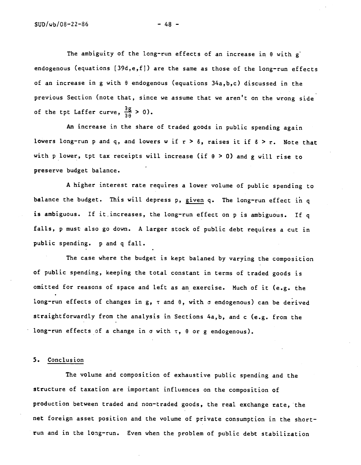The ambiguity of the long-run effects of an increase in  $\theta$  with g endogenous (equations [39d,e,f]) are the same as those of the long-run effects of an increase in g with 9 endogenous (equations 34a,b,c) discussed in the previous Section (note that, since we assume that we aren't on the wrong side of the tpt Laffer curve,  $\frac{\partial g}{\partial \theta} > 0$ ).

An increase in the share of traded goods in public spending again lowers long-run p and q, and lowers w if  $r > \delta$ , raises it if  $\delta > r$ . Note that with p lower, tpt tax receipts will increase (if  $\theta > 0$ ) and g will rise to preserve budget balance. -

A higher interest rate requires a lower volume of public spending to balance the budget. This will depress p, given q. The long-run effect in q is ambiguous. If it increases, the long-run effect on p is ambiguous. If q falls, p must also go down. A larger stock of public debt requires a cut in public spending. p and q fall.

The case where the budget is kept balaned by varying the composition of public spending, keeping the total constant in terms of traded goods is omitted for reasons of space and left as an exercise. Much of it (e.g. the long-run effects of changes in g,  $\tau$  and  $\theta$ , with  $\sigma$  endogenous) can be derived straightforwardly from the analysis in Sections 4a,b, and c (e.g. from the long-run effects of a change in  $\sigma$  with  $\tau$ ,  $\theta$  or g endogenous).

### 5. Conclusion

The volume and composition of exhaustive public spending and the structure of taxation are important influences on the composition of production between traded and non—traded goods, the real exchange rate, the net foreign asset position and the volume of private consumption in the short run and in the long—run. Even when the problem of public debt stabilization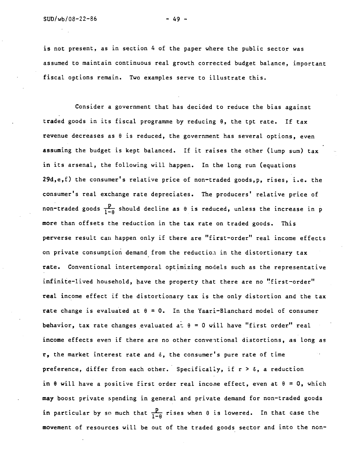is not present, as in section 4 of the paper where the public sector was assumed to maintain continuous real. growth corrected budget balance, important fiscal options remain. Two examples serve to illustrate this.

Consider a government that has decided to reduce the bias against traded goods in its fiscal programme by reducing 9, the tpt rate. If tax revenue decreases as  $\theta$  is reduced, the government has several options, even assuming the budget is kept balanced. If it raises the other (lump sum) tax in its arsenal, the following will happen. In the long run (equations 29d,e,f) the consumer's relative price of non—traded goods,p, rises, i.e. the consumer's real exchange rate depreciates. The producers' relative price of non-traded goods  $\frac{p}{1-\theta}$  should decline as  $\theta$  is reduced, unless the increase in p more than offsets the reduction in the tax rate on traded goods. This perverse result can happen only if there are "first—order" real income effects on private consumption demand from the reduction in the distortionary tax rate. Conventional intertemporal optimizing models such as the representative infinite—lived household, have the property that there are no "first—order" real income effect if the distortionary tax is the only distortion and the tax rate change is evaluated at  $\theta = 0$ . In the Yaari-Blanchard model of consumer behavior, tax rate changes evaluated at  $\theta = 0$  will have "first order" real income effects even if there are no other conventional distortions, as long as r, the market interest rate and S, the consumer's pure rate of time preference, differ from each other. Specifically, if  $r > \delta$ , a reduction in  $\theta$  will have a positive first order real income effect, even at  $\theta = 0$ , which may boost private spending in general and private demand for non—traded goods in particular by so much that  $\frac{p}{1-\theta}$  rises when  $\theta$  is lowered. In that case the movement of resources will be out of the traded goods sector and into the non—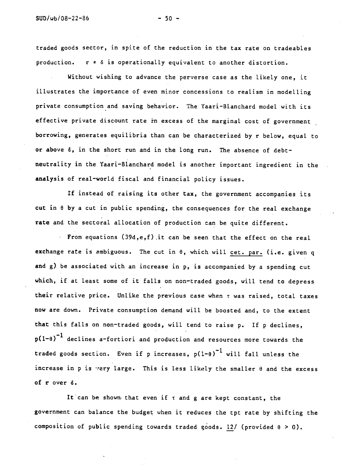traded goods sector, in spite of the reduction in the tax rate on tradeables production.  $r \neq \delta$  is operationally equivalent to another distortion.

Without wishing to advance the perverse case as the likely one, it illustrates the importance of even minor concessions to realism in modelling private consumption and saving behavior. The Yaari—Blanchard model with its effective private discount rate in excess of the marginal cost of government borrowing, generates equilibria than can be characterized by r below, equal to or above  $\delta$ , in the short run and in the long run. The absence of debtneutrality in the Yaari—Blanchard model is another important ingredient in the analysis of real—world fiscal and financial policy issues.

If instead of raising its other tax, the government accompanies its cut in  $\theta$  by a cut in public spending, the consequences for the real exchange rate and the sectoral allocation of production can be quite different.

From equations (39d,e,f) .it can be seen that the effect on the real exchange rate is ambiguous. The cut in  $\theta$ , which will cet. par. (i.e. given q and g) be associated with an increase in p, is accompanied by a spending cut which, if at least some of it falls on non—traded goods, will tend to depress their relative price. Unlike the previous case when r was raised, total taxes now are down. Private consumption demand will be boosted and, to the extent that this falls on non—traded goods, will tend to raise p. If p declines,  $p(1-e)^{-1}$  declines a-fortiori and production and resources more towards the traded goods section. Even if p increases,  $p(1-\theta)^{-1}$  will fall unless the increase in p is very large. This is less likely the smaller  $\theta$  and the excess of  $r$  over  $\delta$ .

It can be shown that even if  $\tau$  and g are kept constant, the government can balance the budget when it reduces the tpt rate by shifting the composition of public spending towards traded goods. 12/ (provided  $\theta > 0$ ).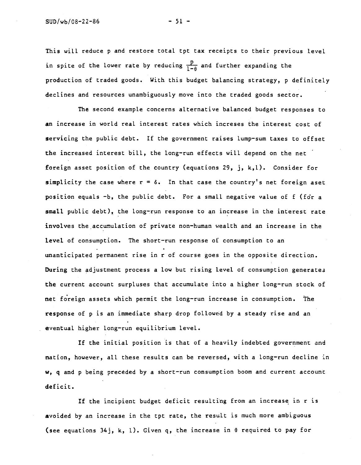This will reduce p and restore total tpt tax receipts to their previous level in spite of the lower rate by reducing  $\frac{p}{1-\theta}$  and further expanding the production of traded goods. With this budget balancing strategy, p definiteLy declines and resources unambiguously move into the traded goods sector.

The second example concerns alternative balanced budget responses to an increase in world real interest rates which increses the interest cost of servicing the public debt. If the government raises lump—sum taxes to offset the increased interest bill, the long-run effects will depend on the net foreign asset position of the country (equations 29, j, k,l). Consider for simplicity the case where  $r = \delta$ . In that case the country's net foreign aset position equals  $-b$ , the public debt. For a small negative value of  $f$  (for a small public debt), the long-run response to an increase in the interest rate involves the accumulation of private non—human wealth and an increase in the Level of consumption. The short—run response of consumption to an unanticipated permanent rise in r of course goes in the opposite direction. During the adjustment process a low but rising level of consumption generates the current account surpluses that accumulate into a higher long-run stock of net foreign assets which permit the long-run increase in consumption. The response of p is an immediate sharp drop followed by a steady rise and an eventual higher long—run equilibrium level.

If the initial position is that of a heavily indebted government and nation, however, all these results can be reversed, with a long—run decline in w, q and p being preceded by a short—run consumption boom and current account deficit.

If the incipient budget deficit resulting from an increase in r is avoided by an increase in the tpt rate, the result is much more ambiguous (see equations 34j, k, I). Given q, the increase in 0 required to pay for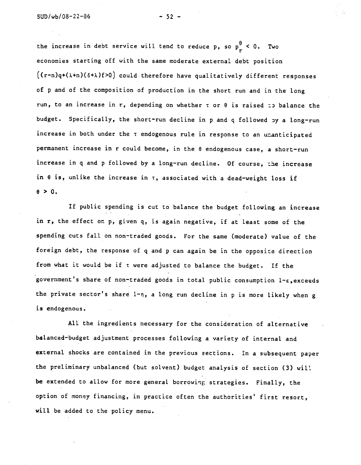the increase in debt service will tend to reduce p, so  $p_r^{\theta}$  < 0. Two economies starting off with the same moderate external debt position  $(c_{r-n})q+(\lambda+n)(\delta+\lambda)f>0$  could therefore have qualitatively different responses of p and of the composition of production in the short run and in the long run, to an increase in r, depending on whether  $\tau$  or  $\theta$  is raised  $\tau$  balance the budget. Specifically, the short-run decline in p and q followed py a long-run increase in both under the  $\tau$  endogenous rule in response to an unanticipated permanent increase in r could become, in the  $\theta$  endogenous case, a short-run increase in q and p followed by a long-run decline. Of course, the increase in  $\theta$  is, unlike the increase in  $\tau$ , associated with a dead-weight loss if  $\theta > 0$ .

If public spending is cut to balance the budget following an increase in r, the effect on p, given q, is again negative, if at least some of the spending cuts fall on non—traded goods. For the same (moderate) value of the foreign debt, the response of q and p can again be in the opposite direction from what it would be if  $\tau$  were adjusted to balance the budget. If the government's share of non—traded goods in total public consumption l—E,exceeds the private sector's share  $1-\eta$ , a long run decline in p is more likely when g is endogenous.

All the ingredients necessary for the consideration of alternative balanced—budget adjustment processes following a variety of internal and external shocks are contained in the previous sections. In a subsequent paper the preliminary unbalanced (but solvent) budget analysis of section (3) wil be extended to allow for more general borrowing strategies. Finally, the option of money financing, in practice often the authorities' first resort, will be added to the policy menu.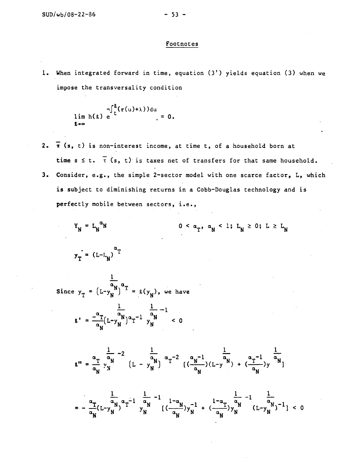### Footnotes

1. When integrated forward in time, equation (3') yields equation (3) when we impose the transversatity condition

$$
-\int_{\frac{1}{\epsilon}}^{\frac{0}{\epsilon}} (r(u)+\lambda) du
$$
\n
$$
\lim_{\ell \to \infty} h(\ell) e^{-\int_{\frac{1}{\epsilon}}^{\frac{0}{\epsilon}} (r(u)+\lambda) du} = 0.
$$

2.  $\bar{\pi}$  (s, t) is non-interest income, at time t, of a household born at time  $s \leq t$ .  $\overline{t}$  (s, t) is taxes net of transfers for that same household. 3. Consider, e.g., the simple 2—sector model with one scarce factor, L, which is subject to diminishing returns in a Cobb—Douglas technology and is perfectly mobile between sectors, i.e.,

$$
Y_{N} = L_{N}^{\alpha_{N}}
$$
 0 <  $\alpha_{T}$ ,  $\alpha_{N}$  < 1;  $L_{N} \ge 0$ ;  $L \ge L_{N}$   

$$
y_{T} = (L - L_{N})^{\alpha_{T}}
$$

Since  $y_T = (L-y_N^{\alpha N})^{\alpha T} = \ell(y_N)$ , we have

1

$$
\mathbf{r} = \frac{-\frac{1}{\alpha_{\mathbf{N}}}}{(\mathbf{L} - \mathbf{y}_{\mathbf{N}})^{\alpha_{\mathbf{T}}} - 1} \frac{\frac{1}{\alpha_{\mathbf{N}}}}{\mathbf{y}_{\mathbf{N}}} - 1
$$

$$
\mathfrak{g}'' = \frac{\alpha_{T}}{\alpha_{N}} \frac{\frac{1}{\alpha_{N}} - 2}{y_{N}} \left( L - y_{N}^{\frac{1}{\alpha_{N}}} \right) \alpha_{T}^{-2} \left( \frac{\alpha_{N} - 1}{\alpha_{N}} \right) \left( L - y^{\frac{1}{\alpha_{N}}} \right) + \left( \frac{\alpha_{T} - 1}{\alpha_{N}} \right) y^{\frac{1}{\alpha_{N}}} \left( \frac{1}{\alpha_{N}} \right)
$$

$$
= - \frac{\alpha_{T}}{\alpha_{N}} (L - y_{N}^{2})^{\alpha_{T} - 1} \frac{\frac{1}{\alpha_{N}} - 1}{y_{N}^{2}} \frac{\frac{1 - \alpha_{N}}{\alpha_{N}} y_{N}^{-1}}{\left(\frac{\alpha_{N}}{\alpha_{N}}\right) y_{N}^{-1}} + \frac{\frac{1 - \alpha_{T}}{\alpha_{N}} y_{N}^{-1}}{\left(\frac{\alpha_{N}}{\alpha_{N}}\right) y_{N}^{-1}} (L - y_{N}^{2})^{-1} ] < 0
$$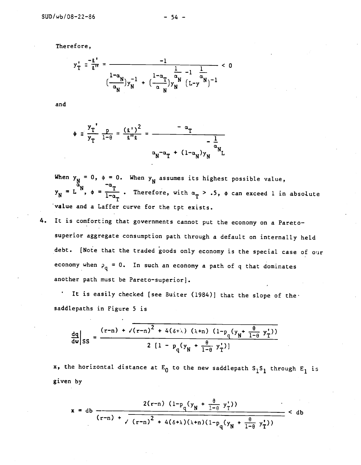Therefore,

$$
y_{T}^{\dagger} = \frac{-g^{\dagger}}{g^{\dagger}} = \frac{-1}{\left(\frac{1-\alpha_{N}}{\alpha_{N}}\right)y_{N}^{-1} + \left(\frac{1-\alpha_{T}}{\alpha_{N}}\right)y_{N}^{-1} \left(L-y^{M}\right)^{-1}} < 0
$$

and

$$
\phi = \frac{y_T^2}{y_T} \frac{p}{1-\theta} = \frac{(z^*)^2}{z''z} = \frac{-\alpha_T}{-\alpha_T} \frac{1}{\alpha_{N}^2}
$$

When  $y_N = 0$ ,  $\phi = 0$ . When  $T$   $T_{\text{linear}}$ When y<sub>N</sub> assumes its highest possible value, = L  $^{\text{N}}$ ,  $\phi$  =  $\frac{\text{T}}{1-\alpha_m}$  . Therefore, with  $\alpha_{\text{T}}$  > .5,  $\phi$  can exceed 1 in absolute value and a Laffer curve for the tpt exists.

4. It is comforting that governments cannot put the economy on a Pareto superior aggregate consumption path through a default on internally held debt. [Note that the traded goods only economy is the special case of oir economy when  $p_q = 0$ . In such an economy a path of q that dominates another path must be Pareto—superior].

It is easily checked [see Buiter (1984)] that the slope of the saddlepaths in Figure 5 is

$$
\frac{dq}{dw}\bigg|_{SS} = \frac{(r-n) + \sqrt{(r-n)^2 + 4(6+\lambda)(\lambda+n)(1-p_q(y_N + \frac{\theta}{1-\theta} y'_T))}}{2[1-p_q(y_N + \frac{\theta}{1-\theta} y'_T)]}
$$

x, the horizontal distance at  $E_0$  to the new saddlepath  $S_1S_1$  through  $E_1$  is given by

$$
x = db \frac{2(r-n) (1-p_q(y_N + \frac{\theta}{1-\theta} y_T^*))}{(r-n) + \sqrt{(r-n)^2 + 4(\delta+\lambda)(\lambda+n)(1-p_q(y_N + \frac{\theta}{1-\theta} y_T^*))}} < db
$$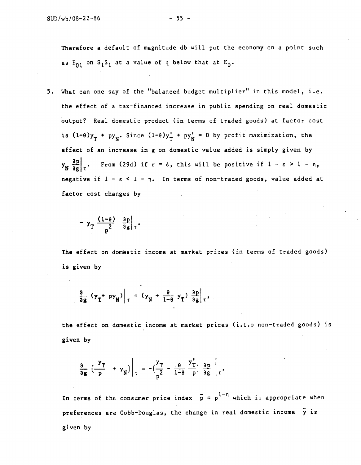Therefore a default of magnitude db will put the economy on a point such as  $E_{01}$  on  $S_1S_1$  at a value of q below that at  $E_0$ .

5. What can one say of the "balanced budget multiplier" in this model, i.e. the effect of a tax—financed increase in public spending on real domestic output? Real domestic product (in terms of traded goods) at factor cost is  $(1-\theta)y_T + py_N$ . Since  $(1-\theta)y_T' + py_N' = 0$  by profit maximization, the effect of an increase in g on domestic value added is simply given by  $y_N \left. \frac{\partial p}{\partial g} \right|_{T}$ . From (29d) if  $r = \delta$ , this will be positive if  $1 - \epsilon > 1 - n$ , negative if  $1 - \varepsilon < 1 - \eta$ . In terms of non-traded goods, value added at factor cost changes by

$$
- y_T \frac{(1-\theta)}{2} \frac{\partial p}{\partial g} \Big| \tau
$$

The effect on domstic income at market prices (in terms of traded goods) is given by

$$
\frac{\partial}{\partial g} (y_T + py_N) \Big|_{\tau} = (y_N + \frac{\theta}{1-\theta} y_T) \frac{\partial p}{\partial g} \Big|_{\tau},
$$

the effect on domestic income at market prices (i.t.o non-traded goods) is given by

$$
\frac{a}{\log} \left( \frac{y_T}{p} + y_N \right) \bigg|_{\tau} = -\left( \frac{y_T}{p^2} - \frac{\theta}{1-\theta} \frac{y_T}{p} \right) \frac{a_D}{a_B} \bigg|_{\tau}.
$$

In terms of the consumer price index  $\tilde{p} = p^{1-\eta}$  which is appropriate when preferences are Cobb-Douglas, the change in real domestic income  $\tilde{y}$  is given by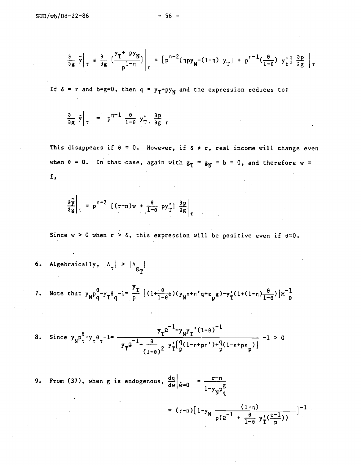$$
\frac{\partial}{\partial g} \tilde{y}\Big|_{\tau} \equiv \frac{\partial}{\partial g} \left(\frac{y_T + py_N}{p^{1-\eta}}\right)\Big|_{\tau} = \left[p^{\eta-2} \left(\eta py_N - (1-\eta) y_T\right) + p^{\eta-1} \left(\frac{\theta}{1-\theta}\right) y_t^{\tau}\right] \frac{\partial p}{\partial g}\Big|_{\tau}
$$

If  $\delta = r$  and  $b=g=0$ , then  $q = y_T+py_N$  and the expression reduces to:

$$
\frac{\partial}{\partial g} \tilde{y}\Big|_{\tau} = p^{\eta-1} \frac{\theta}{1-\theta} y_{T}^{\dagger} \frac{\partial p}{\partial g}\Big|_{\tau}
$$

This disappears if  $\theta = 0$ . However, if  $\delta \neq r$ , real income will change even when  $\theta = 0$ . In that case, again with  $g_T = g_N = b = 0$ , and therefore w = f,

$$
\frac{\partial \tilde{y}}{\partial g}\bigg|_{T} = p^{n-2} \left[ (r-n)w + \frac{\theta}{1-\theta} py_{T}^{*} \right] \frac{\partial p}{\partial g}\bigg|_{T}
$$

Since  $w > 0$  when  $r > \delta$ , this expression will be positive even if  $\theta = 0$ .

- 6. Algebraically,  $|\Delta_{\tau}| > |\Delta_{g_{\tau}}|$
- 7. Note that  $y_N^{\theta}$   $y_q^{\theta}$   $y_q^{\theta}$   $z_l^{\theta}$   $z_l^{\theta}$   $z_l^{\theta}$   $(1 + \frac{\theta}{1-\theta}\phi)(y_N^{\theta} + \eta' q + \epsilon_{p}g) y_q'(1 + (1 \eta)\frac{\theta}{1-\theta})]M^{-\theta}$

8. Since 
$$
y_N p_\tau^{\theta} - y_\tau \theta_\tau^{-1} = \frac{y_T \Omega^{-1} - y_N y_T^{\dagger} (1-\theta)^{-1}}{y_T \Omega^{-1} + \frac{\theta}{(1-\theta)^2} y_T^{\dagger} [\frac{q}{p} (1-\eta + p\eta') + \frac{q}{p} (1-\epsilon + p\epsilon_p)} -1 > 0
$$

9. From (37), when g is endogenous,  $\frac{dq}{dw}\Big|_{\mathbf{\dot{w}}=0} = \frac{r-n}{1-y_{\mathbf{N}}p_{\mathbf{q}}^{\mathbf{g}}}$ 

$$
= (r-n) [1-y_{N} \frac{(1-n)}{p(n^{-1} + \frac{\theta}{1-\theta} y_{T}^{*}(\frac{\varepsilon-1}{p}))}]^{-1}
$$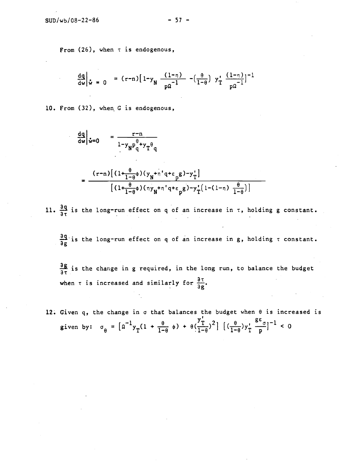From (26), when r is endogenous,

$$
\frac{dq}{dw}\Big|_{\mathbf{w}} = 0 = (r-n)\left[1-y_N\frac{(1-n)}{p\Omega^{-1}} - \left(\frac{\theta}{1-\theta}\right)y_T^*\frac{(1-n)}{p\Omega^{-1}}\right]^{-1}
$$

10. From (32), when C is endogenous,

$$
\frac{dq}{dw}\Big|_{\mathbf{\dot{w}}=0} = \frac{r-n}{1-y_{\mathbf{N}}p_{\mathbf{q}}^{\theta}+y_{\mathbf{T}}\theta_{\mathbf{q}}}
$$
\n
$$
= \frac{(r-n)\left[(1+\frac{\theta}{1-\theta}\phi)(y_{\mathbf{N}}+n'q+\epsilon_{\mathbf{p}}g)-y_{\mathbf{T}}^{*}\right]}{\left[(1+\frac{\theta}{1-\theta}\phi)(ny_{\mathbf{N}}+n'q+\epsilon_{\mathbf{p}}g)-y_{\mathbf{T}}^{*}\left(1-(1-n)\frac{\theta}{1-\theta}\right)\right]}
$$

11.  $\frac{\partial q}{\partial \tau}$  is the long-run effect on q of an increase in  $\tau$ , holding g constant.

 $\frac{\partial q}{\partial \sigma}$  is the long-run effect on q of an increase in g, holding  $\tau$  constant.

 $\frac{\partial g}{\partial x}$  is the change in g required, in the long run, to balance the budget when  $\tau$  is increased and similarly for  $\frac{\partial \tau}{\partial \phi}$ .

12. Given q, the change in  $\sigma$  that balances the budget when  $\theta$  is increased is given by:  $\sigma_{\theta} = \left[ a^{-1} y_T (1 + \frac{\theta}{1-\theta} \phi) + \theta \left( \frac{y_T^r}{1-\theta} \right)^2 \right] \left[ \left( \frac{\theta}{1-\theta} \right) y_T^r \frac{g \epsilon}{p} \right]^{-1} < 0$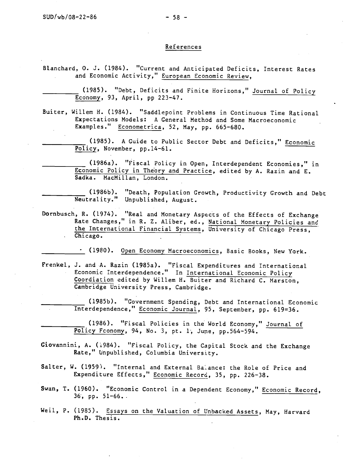### References

Blanchard, 0. J. (1984). "Current and Anticipated Deficits, Interest Rates and Economic Activity," European Economic Review,

> (1985). "Debt, Deficits and Finite Horizons," Journal of Policy Ecdnomy, 93, April, pp 223—47.

- Buiter, Willem H. (1984). "Saddlepoint Problems in Continuous Time Rational Expectations Models: A General Method and Some Macroeconomic Examples." Econometrica, 52, May, pp. 665-680.
	- (1985). A Guide to Public Sector Debt and Deficits," Economic Policy, November, pp.14—61.

(1986a). "Fiscal Policy in Open, Interdependent Economies," in Economic Policy in Theory and Practice, edited by A. Razin and E. Sadka. MacMillan, London.

(1986b). "Death, Population Growth, Productivity Growth and Debt Neutrality." Unpublished, August.

Dornbusch, R. (1974). "Real and Monetary Aspects of the Effects of Exchange Rate Changes," in R. Z. Aliber, ed., National Monetary Policies and the International Financial Systems, University of Chicago Press, . Chicago.

(1980). Open Economy Macroeconomics, Basic Books, New York.

Frenkel, J. and A. Razin (1985a). "Fiscal Expenditures and International Economic Interdependence." In International Economic Policy Coordiation edited by Willem H. Buiter and Richard C. Marston, Cambridge University Press, Cambridge.

(1985b). "Government Spending, Debt and International Economic Interdependence," Economic Journal, 95, September, pp. 619=36.

(1986). "Fiscal Policies in the World Economy," Journal of Policy Fconomy, 94, No. 3, Pt. 1, June, pp.564—594.

- Giovannini, A. (1984). "Fiscal Policy, the Capital Stock and the Exchange Rate," Unpublished, Columbia University.
- Salter, W. (1959). "Internal and External Balance: the Role of Price and Expenditure Effects," Economic Record, 35, pp. 226—38.
- Swan, T. (1960). "Economic Control in a Dependent Economy," Economic Record,  $36$ , pp.  $51-66$ .
- Weil, P. (1985). Essays on the Valuation of Unbacked Assets, May, Harvard Ph.D. Thesis.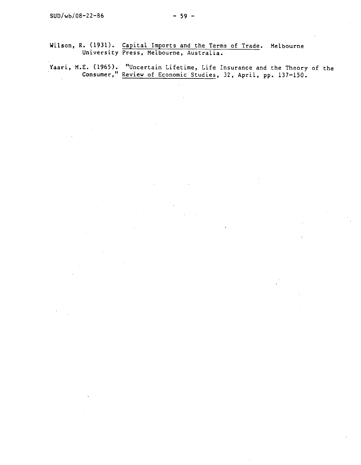Wilson, R. (1931). Capital Imports and the Terms of Trade. Melbourne University Press, Melbourne, Australia.

Yaari, ME. (1965). "Uncertain Lifetime, Life Insurance and the Theory of the Consumer," Review of Economic Studies, 32, ApriL, pp. 137—150.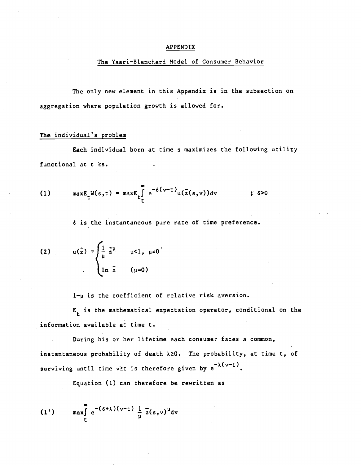#### APPENDIX

## The Yaari-Blanchard Model of Consumer Behavior

The only new element in this Appendix is in the subsection on aggregation where population growth is allowed for.

# The individual's problem

Each individual born at time s maximizes the following utility functional at  $t \geq s$ .

(1) 
$$
\max E_t W(s,t) = \max E_t \int_t^{\infty} e^{-\delta(v-t)} u(\bar{z}(s,v)) dv
$$
 ; 6>0

6 is the instantaneous pure rate of time preference.

(2) 
$$
u(\bar{z}) = \begin{cases} \frac{1}{\mu} \bar{z}^{\mu} & \mu < 1, \mu \neq 0 \\ \ln \bar{z} & (\mu = 0) \end{cases}
$$

 $1-y$  is the coefficient of relative risk aversion.

 $E_t$  is the mathematical expectation operator, conditional on the information available at time t.

During his or her-lifetime each consumer faces a common, instantaneous probability of death  $\lambda \geq 0$ . The probability, at time t, of surviving until time v≥t is therefore given by  $e^{-\lambda(v-t)}$ .

Equation (1) can therefore be rewritten as

(1') 
$$
\max_{\mathbf{r}} \int_{\mathbf{r}}^{\infty} e^{-(\delta + \lambda)(v-\mathbf{t})} \frac{1}{\mu} \overline{z}(s,v)^{\mu} dv
$$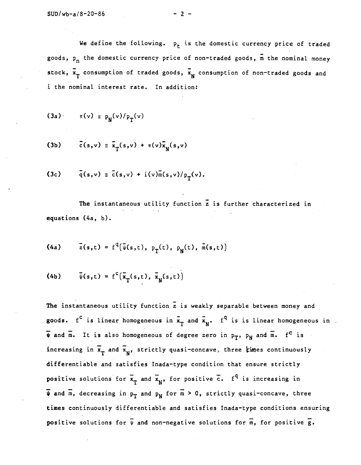We define the following.  $p_t$  is the domestic currency price of traded goods,  $p_n$  the domestic currency price of non-traded goods,  $\overline{m}$  the nominal money stock,  $\bar{x}_T$  consumption of traded goods,  $\bar{x}_N$  consumption of non-traded goods and i the nominal interest rate. In addition:

$$
(3a) \quad \pi(v) \equiv p_{\mathbf{N}}(v)/p_{\mathbf{T}}(v)
$$

(3b) 
$$
\vec{c}(s,v) \equiv \vec{x}_T(s,v) + \pi(v)\vec{x}_N(s,v)
$$

$$
(3c) \qquad \bar{q}(s,v) \equiv \bar{c}(s,v) + i(v)\bar{m}(s,v)/p_{\tau}(v).
$$

The instantaneous utility function z is further characterized in equations (4a, b).

(4a) 
$$
\bar{z}(s,t) = f^q(\bar{\psi}(s,t), p_T(t), p_N(t), \bar{m}(s,t))
$$

(4b) 
$$
\bar{\psi}(s,t) = f^{c}(\bar{x}_{T}(s,t), \bar{x}_{N}(s,t))
$$

The instantaneous utility function z is weakly separable between money and goods.  $f^c$  is linear homogeneous in  $\vec{x}_T$  and  $\vec{x}_N$ .  $f^q$  is is linear homogeneous in  $\overline{\Psi}$  and  $\overline{\mathfrak{m}}$ . It is also homogeneous of degree zero in  $p_T$ ,  $p_N$  and  $\overline{\mathfrak{m}}$ .  $f^C$  is increasing in  $\bar{x}_{T}$  and  $\bar{x}_{N}$ , strictly quasi-concave, three *times* continuously differentiable and satisfies Inada—type condition that ensure strictly positive solutions for  $\bar{x}_T$  and  $\bar{x}_N$ , for positive  $\bar{c}$ .  $f^q$  is increasing in  $\overline{\psi}$  and  $\overline{m}$ , decreasing in  $p_T$  and  $p_N$  for  $\overline{m} > 0$ , strictly quasi-concave, three times continuously differentiable and satisfies Inada—type conditions ensuring positive solutions for  $\overline{\Psi}$  and non-negative solutions for  $\overline{m}$ , for positive  $\overline{g}$ .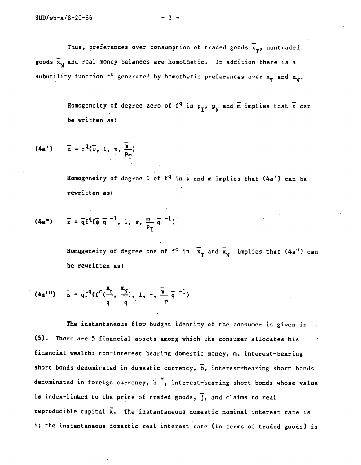Thus, preferences over consumption of traded goods  $\mathbf{x}_{\mathbf{T}}^{\bullet}$ , nontraded goods  $\bar{x}_N$  and real money balances are homothetic. In addition there is a subutility function  $f^{\leftarrow}$  generated by homothetic preferences over  $\mathbf{x}_{\textrm{T}}$  and  $\mathbf{x}_{\textrm{N}}^{\textrm{}}$ .

> Homogeneity of degree zero of  $f^q$  in  $p_T$ ,  $p_N$  and  $\overline{m}$  implies that  $\overline{z}$  can be written as:

(4a') 
$$
\bar{z} = f^{q}(\bar{\psi}, 1, \pi, \frac{\bar{m}}{P_{T}})
$$

Homogeneity of degree 1 of  $f^q$  in  $\overline{\psi}$  and  $\overline{m}$  implies that (4a') can be rewritten as:

(4a") 
$$
\bar{z} = \bar{q}f^{q}(\bar{\psi} \bar{q}^{-1}, 1, \pi, \bar{\frac{m}{p_{T}}} \bar{q}^{-1})
$$

Homogeneity of degree one of  $f^c$  in  $\overline{x}_p$  and  $\overline{x}_N$  implies that (4a") can be rewritten as:

(4a'') 
$$
\bar{z} = \bar{q}f^{q}(f^{c}(\frac{x_{t}}{q}, \frac{x_{N}}{q}), 1, \pi, \frac{\bar{m}}{T} \bar{q}^{-1})
$$

The instantaneous flow budget identity of the consumer is given in (5). There are 5 financial assets among which the consumer allocates his financial wealth: non-interest bearing domestic money,  $\overline{m}$ , interest-bearing short bonds denominated in domestic currency,  $\overline{b}$ , interest-bearing short bonds  $\mathbf{r}^*$  .  $\mathbf{r}$ denominated in foreign currency,  $\overline{b}$ , interest-bearing short bonds whose value is index-linked to the price of traded goods,  $\overline{j}$ , and claims to real reproducible capital  $\vec{k}$ . The instantaneous domestic nominal interest rate is i; the instantaneous domestic real interest rate (in terms of traded goods) is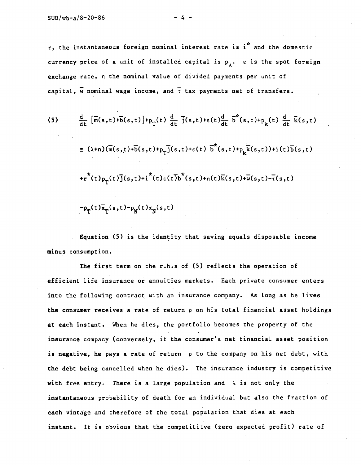r, the instantaneous foreign nominal interest rate is i\* and the domestic currency price of a unit of installed capital is  $p_k$ .  $\varepsilon$  is the spot foreign exchange rate, n the nominal value of divided payments per unit of capital,  $\overline{w}$  nominal wage income, and  $\overline{t}$  tax payments net of transfers.

(5) 
$$
\frac{d}{dt} [\overline{m}(s,t)+\overline{b}(s,t)]+p_{T}(t) \frac{d}{dt} \overline{j}(s,t)+\epsilon(t)\frac{d}{dt} \overline{b}^{*}(s,t)+p_{k}(t) \frac{d}{dt} \overline{k}(s,t)]
$$
  
\n
$$
\equiv (\lambda+n)(\overline{m}(s,t)+\overline{b}(s,t)+p_{T}\overline{j}(s,t)+\epsilon(t) \overline{b}^{*}(s,t)+p_{k}\overline{k}(s,t))+i(t)\overline{b}(s,t)
$$
  
\n
$$
+r^{*}(t)p_{T}(t)\overline{j}(s,t)+i^{*}(t)\epsilon(t)\overline{b}^{*}(s,t)+n(t)\overline{k}(s,t)+\overline{w}(s,t)-\overline{t}(s,t)
$$
  
\n
$$
-p_{T}(t)\overline{x}_{T}(s,t)-p_{N}(t)\overline{x}_{N}(s,t)
$$

Equation (5) is the identity that saving equals disposable income minus consumption.

The first term on the r.h.s of (5) reflects the operation of efficient life insurance or annuities markets. Each private consumer enters into the following contract with an insurance company. As long as he lives the consumer receives a rate of teturn p on his total financial asset holdings at each instant. When he dies, the portfolio becomes the property of the insurance company (conversely, if the consumer's net financial asset position is negative, he pays a rate of return  $\rho$  to the company on his net debt, with the debt being cancelled when he dies). The insurance industry is competitive with free entry. There is a large population and  $\lambda$  is not only the instantaneous probability of death for an individual but also the fraction of each vintage and therefore of the total population that dies at each instant. It is obvious that the competititve (zero expected profit) rate of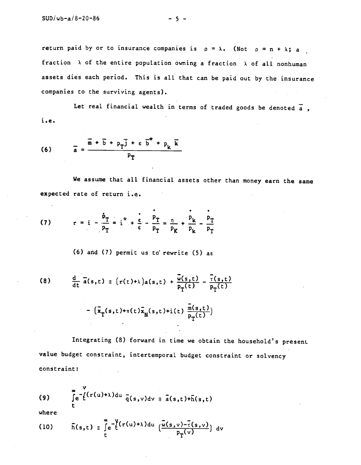return paid by or to insurance companies is  $p = \lambda$ . (Not  $p = n + \lambda$ ; a fraction  $\lambda$  of the entire population owning a fraction  $\lambda$  of all nonhuman assets dies each period. This is all that can be paid out by the insurance companies to the surviving agents).

Let real financial wealth in terms of traded goods be denoted  $\overline{a}$ , i.e.

(6) 
$$
\bar{a} = \frac{\bar{m} + \bar{b} + p_{\bar{T}}\bar{j} + \epsilon \bar{b}^* + p_{k} \bar{k}}{p_{\bar{T}}}
$$

We assume that all financial assets other than money earn the same expected rate of return i.e.

(7) 
$$
r = i - \frac{\dot{p}_T}{p_T} = i^* + \frac{\varepsilon}{\varepsilon} - \frac{p_T}{p_T} = \frac{n}{p_K} + \frac{p_K}{p_K} - \frac{p_T}{p_T}
$$

(6) and (7) permit us to' rewrite (5) as

(8) 
$$
\frac{d}{dt} \overline{a}(s,t) = (r(t)+\lambda)a(s,t) + \frac{\overline{w}(s,t)}{P_T(t)} - \frac{\overline{r}(s,t)}{P_T(t)}
$$

$$
- (\overline{x}_T(s,t)+\pi(t)\overline{x}_N(s,t)+i(t) \frac{\overline{m}(s,t)}{P_T(t)})
$$

Integrating (8) forward in time we obtain the household's presenL value budget constraint, intertemporal budget constraint or solvency constraint:

(9) 
$$
\int_{t}^{\infty} e^{-\int_{t}^{t} (r(u)+\lambda) du} \frac{1}{q(s,v)} dv = \bar{a}(s,t)+\bar{h}(s,t)
$$

where

(10) 
$$
\bar{h}(s,t) = \int_{t}^{\infty} e^{-\frac{V}{2}(r(u)+\lambda)du} \left(\frac{\bar{w}(s,v)-\bar{t}(s,v)}{P_T(v)}\right) dv
$$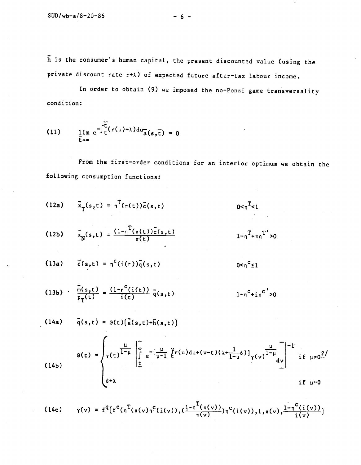h is the consumer's human capital, the present discounted value (using the private discount rate  $r+\lambda$ ) of expected future after-tax labour income.

In order to obtain (9) we imposed the no-Ponzi game transversality condition:

(11) 
$$
\lim_{\tau \to \infty} e^{-\int_{\tau}^{\tau} (r(u)+\lambda) du} a(s,\tau) = 0
$$

From the first—order conditions for an interior optimum we obtain the following consumption functions:

(12a) 
$$
\bar{x}_{T}(s,t) = n^{T}(\pi(t))\bar{c}(s,t)
$$
  $0 < n^{T} < 1$   
(12b)  $\bar{x}_{N}(s,t) = \frac{(1 - n^{T}(\pi(t))\bar{c}(s,t)}{\pi(t)}$   $1 - n^{T} + n^{T} > 0$ 

(13a) 
$$
\vec{c}(s,t) = n^C(i(t))\vec{q}(s,t)
$$

(13b) 
$$
\frac{\overline{m}(s,t)}{p_T(t)} = \frac{(1-\eta^C(i(t)))}{i(t)} \overline{q}(s,t) \qquad 1-\eta^C + i\eta^C > 0
$$

(14a) 
$$
\bar{q}(s,t) = \theta(t)(\bar{a}(s,t) + \bar{h}(s,t))
$$
  
\n
$$
\theta(t) = \begin{cases}\n\frac{\mu}{\gamma(t)}\Big|_{t=0}^{\infty} e^{-\left[\frac{\mu}{\mu-1}\int_{t=0}^{t} f(u) du + (v-t)(\lambda + \frac{1}{1-\mu}\delta)\right]}\gamma(v)^{\frac{\mu}{1-\mu}}\Big|_{t=0}^{\infty} e^{-\frac{\mu}{1-\mu}\int_{t=0}^{t} f(u) du + (v-t)(\lambda + \frac{1}{1-\mu}\delta)\right]}\gamma(v)^{\frac{\mu}{1-\mu}}\Big|_{t=0}^{\infty} e^{-\frac{\mu}{1-\mu}\int_{t=0}^{t} f(u) du + (v-t)(\lambda + \frac{1}{1-\mu}\delta)\int_{t=0}^{t} f(u) du + (v-t)(\lambda + \frac{1}{1-\mu}\delta)\int_{t=0}^{t} f(u) du + (v-t)(\lambda + \frac{1}{1-\mu}\delta)\int_{t=0}^{t} f(u) du + (v-t)(\lambda + \frac{1}{1-\mu}\delta)\int_{t=0}^{t} f(u) du + (v-t)(\lambda + \frac{1}{1-\mu}\delta)\int_{t=0}^{t} f(u) du + (v-t)(\lambda + \frac{1}{1-\mu}\delta)\int_{t=0}^{t} f(u) du + (v-t)(\lambda + \frac{1}{1-\mu}\delta)\int_{t=0}^{t} f(u) du + (v-t)(\lambda + \frac{1}{1-\mu}\delta)\int_{t=0}^{t} f(u) du + (v-t)(\lambda + \frac{1}{1-\mu}\delta)\int_{t=0}^{t} f(u) du + (v-t)(\lambda + \frac{1}{1-\mu}\delta)\int_{t=0}^{t} f(u) du + (v-t)(\lambda + \frac{1}{1-\mu}\delta)\int_{t=0}^{t} f(u) du + (v-t)(\lambda + \frac{1}{1-\mu}\delta)\int_{t=0}^{t} f(u) du + (v-t)(\lambda + \frac{1}{1-\mu}\delta)\int_{t=0}^{t} f(u) du + (v-t)(\lambda + \frac{1}{1-\mu}\delta)\int_{t=0}^{t} f(u) du + (v-t)(\lambda + \frac{1}{1-\mu}\delta)\int_{t=0}^{t} f(u) du + (v-t)(\lambda + \frac{1}{1-\mu}\delta)\int_{t=0}^{t} f(u) du + (v
$$

 $0 < n^c \leq 1$ 

(14c) 
$$
\gamma(v) = f^{q}\left(f^{c}(\eta^{T}(\pi(v)\eta^{c}(i(v))), (\frac{1-\eta^{T}(\pi(v))}{\pi(v)})\eta^{c}(i(v)), 1, \pi(v), \frac{1-\eta^{c}(i(v))}{i(v)}\right)
$$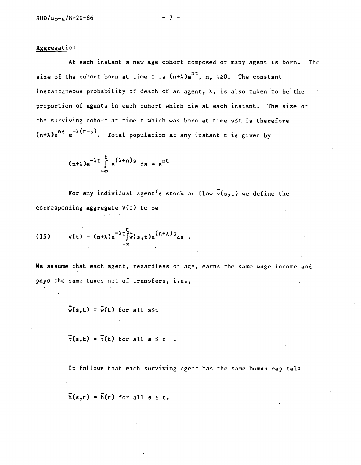# Aggregation

At each instant a new age cohort composed of many agent is born. The size of the cohort born at time t is  $(n+\lambda)e^{nt}$ , n,  $\lambda \ge 0$ . The constant instantaneous probability of death of an agent,  $\lambda$ , is also taken to be the proportion of agents in each cohort which die at each instant. The size of the surviving cohort at time  $t$  which was born at time  $s \leq t$  is therefore (n+1)e<sup>ns</sup> e<sup>-1(t-s)</sup>. Total population at any instant t is given by

> $(n+\lambda)e^{-\lambda t} \int e^{(\lambda+n)s} ds = e^{nt}$  $-\infty$

For any individual agent's stock or flow  $\bar{v}(s,t)$  we define the corresponding aggregate  $V(t)$  to be

(15) 
$$
V(t) = (n+\lambda)e^{-\lambda t}\int_{-\infty}^{t} v(s,t)e^{(n+\lambda)s}ds
$$

We assume that each agent, regardless of age, earns the same wage income and pays the same taxes net of transfers, i.e.,

 $\overline{w}(s,t) = \overline{w}(t)$  for all s\t

 $\overline{\tau}(s,t) = \overline{\tau}(t)$  for all  $s \leq t$ .

It follows that each surviving agent has the same human capital:

 $\overline{h}(s,t) = \overline{h}(t)$  for all  $s \leq t$ .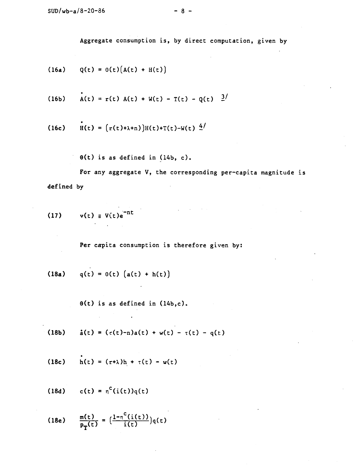Aggregate consumption is, by direct computation, given by

(16a) 
$$
Q(t) = O(t)(A(t) + H(t))
$$

(16b) 
$$
\dot{A}(t) = r(t) A(t) + W(t) - T(t) - Q(t) \frac{3}{}
$$

(16c) 
$$
H(t) = (r(t)+\lambda+n)H(t)+T(t)-W(t) \frac{4}{\lambda}
$$

0(t) is as defined in (14b, c).

For any aggregate V, the corresponding per-capita magnitude is defined by

 $\mathcal{L}^{\text{max}}_{\text{max}}$  and  $\mathcal{L}^{\text{max}}_{\text{max}}$ 

$$
(17) \t v(t) \equiv V(t)e^{-nt}
$$

Per capita consumption is therefore given by:

(18a) 
$$
q(t) = \Theta(t) (a(t) + h(t))
$$

0(t) is as defined in (14b,c).

(18b) 
$$
\dot{a}(t) = (r(t)-n)a(t) + w(t) - r(t) - q(t)
$$

(18c) 
$$
h(t) = (r+\lambda)h + \tau(t) - w(t)
$$

(18d)  $c(t) = n^{c}(i(t))q(t)$ 

 $\sim 10^7$ 

(18e) 
$$
\frac{m(t)}{p_T(t)} = \frac{1 - n^c(i(t))}{i(t)}q(t)
$$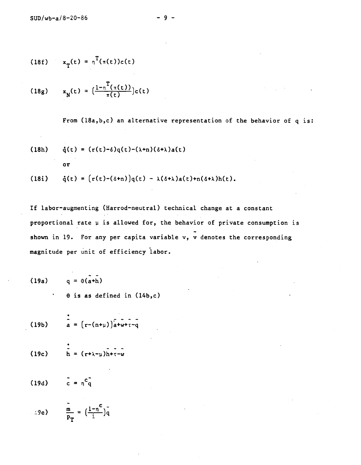(18f) 
$$
x_{\tau}(t) = \tau^{T}(\tau(t))c(t)
$$

(18g) 
$$
x_N(t) = \left(\frac{1 - \pi^T(\pi(t))}{\pi(t)}\right) c(t)
$$

From (18a,b,c) an alternative representation of the behavior of q is: (18h)  $\dot{q}(t) = (r(t)-\delta)q(t)-(\lambda+n)(\delta+\lambda)a(t)$ or (18i)  $\dot{q}(t) = (r(t)-(\delta+n))q(t) - \lambda(\delta+\lambda)a(t)+n(\delta+\lambda)h(t).$ 

If labor—augmenting (Harrod—neutral) technical change at a constant proportional rate  $\mu$  is allowed for, the behavior of private consumption is shown in 19. For any per capita variable v, v denotes the corresponding magnitude per unit of efficiency labor.

(19a) 
$$
q = \theta(a+h)
$$
  
  $\theta$  is as defined in (14b,c)

(19b) 
$$
\frac{1}{a} = (r - (n + \mu))a + \mu + \tau - q
$$

(19c) 
$$
\int_{h}^{2} = (r + \lambda - \mu)h + \tau - w
$$

$$
(19d) \qquad c = n^c \tilde{q}
$$

$$
\therefore 9e) \qquad \frac{\overline{m}}{P_T} = \left(\frac{1-\overline{n}^c}{\frac{1}{2}}\right)\overline{q}
$$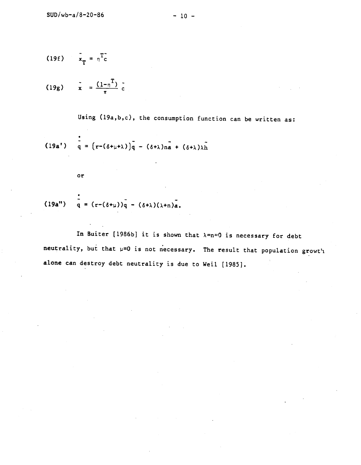$$
(19f) \qquad \bar{x}_T = \eta^T c
$$

(19g) 
$$
\bar{x} = \frac{(1-\eta^{T})}{\pi} \bar{c}
$$

Using (19a,b,c), the consumption function can be written as:

$$
(19a^{\dagger}) \quad \tilde{q} = (r - (\delta + \mu + \lambda))\tilde{q} - (\delta + \lambda)\tilde{n} + (\delta + \lambda)\lambda\tilde{n}
$$

or

$$
(19a'') \qquad q = (r - (\delta + \mu))q - (\delta + \lambda)(\lambda + n)a.
$$

In Buiter [1986b] it is shown that  $\lambda=n=0$  is necessary for debt neutrality, but that  $\mu=0$  is not necessary. The result that population growt'i alone can destroy debt neutrality is due to Weil [1985].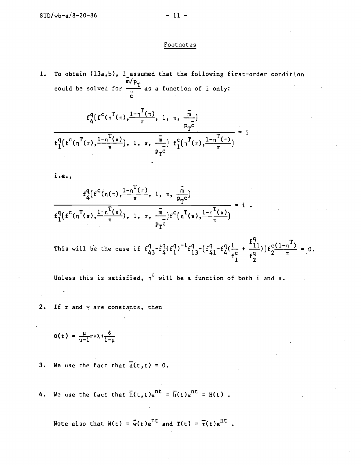### Footnotes

1. To obtain (13a,b), I assumed that the following first-order condition could be solved for  $\frac{p+1}{2}$  as a function of i only: **C** and the set of  $\mathbf{C}$ 

$$
f_{4}^{q}(f^{c}(\pi^{T}(\pi), \frac{1-\pi^{T}(\pi)}{\pi}, 1, \pi, \frac{\overline{m}}{p_{T}^{c}}))
$$
  

$$
f_{1}^{q}(f^{c}(\pi^{T}(\pi), \frac{1-\pi^{T}(\pi)}{\pi}), 1, \pi, \frac{\overline{m}}{p_{T}^{c}}) f_{1}^{c}(\pi^{T}(\pi), \frac{1-\pi^{T}(\pi)}{\pi}) = i
$$

i.e.,

$$
\frac{f_{4}^{q}(f^{c}(\eta(\pi), \frac{1-\eta^{T}(\pi)}{\pi}, 1, \pi, \frac{\overline{m}}{p_{T}c})}{f_{1}^{q}(f^{c}(\eta^{T}(\pi), \frac{1-\eta^{T}(\pi)}{\pi}), 1, \pi, \frac{\overline{m}}{p_{T}c})f^{c}(\eta^{T}(\pi), \frac{1-\eta^{T}(\pi)}{\pi})} = i
$$

This will be the case if  $f_{43}^4 - f_4^4 (f_1^4) - f_{13}^4 - (f_{41}^4 - f_4^4 (\frac{1}{c} + \frac{11}{c^4})) f_2^4$  $+\frac{f_{11}^{q}}{q}\bigg)f_{2}^{c(1-\eta^{T})}=0.$  $f_2^{q^2}$   $\pi$ 

Unless this is satisfied,  $n^C$  will be a function of both i and  $\pi$ .

2. If  $r$  and  $\gamma$  are constants, then

$$
\Theta(t) = \frac{\mu}{\mu - 1} r + \lambda + \frac{\delta}{1 - \mu}
$$

- 3. We use the fact that  $\overline{a}(t,t) = 0$ .
- 4. We use the fact that  $\overline{h}(t,t)e^{nt} = \overline{h}(t)e^{nt} = H(t)$ .

Note also that  $W(t) = \overline{w}(t)e^{nt}$  and  $T(t) = \overline{\tau}(t)e^{nt}$ .